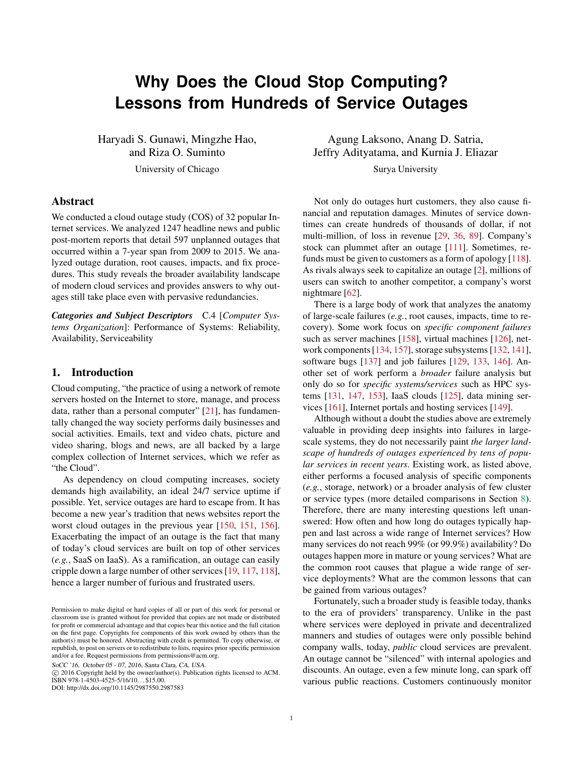# **Why Does the Cloud Stop Computing? Lessons from Hundreds of Service Outages**

Haryadi S. Gunawi, Mingzhe Hao, and Riza O. Suminto University of Chicago

## Abstract

We conducted a cloud outage study (COS) of 32 popular Internet services. We analyzed 1247 headline news and public post-mortem reports that detail 597 unplanned outages that occurred within a 7-year span from 2009 to 2015. We analyzed outage duration, root causes, impacts, and fix procedures. This study reveals the broader availability landscape of modern cloud services and provides answers to why outages still take place even with pervasive redundancies.

*Categories and Subject Descriptors* C.4 [*Computer Systems Organization*]: Performance of Systems: Reliability, Availability, Serviceability

# 1. Introduction

Cloud computing, "the practice of using a network of remote servers hosted on the Internet to store, manage, and process data, rather than a personal computer" [\[21\]](#page-12-0), has fundamentally changed the way society performs daily businesses and social activities. Emails, text and video chats, picture and video sharing, blogs and news, are all backed by a large complex collection of Internet services, which we refer as "the Cloud".

As dependency on cloud computing increases, society demands high availability, an ideal 24/7 service uptime if possible. Yet, service outages are hard to escape from. It has become a new year's tradition that news websites report the worst cloud outages in the previous year [\[150,](#page-15-0) [151](#page-15-1), [156\]](#page-15-2). Exacerbating the impact of an outage is the fact that many of today's cloud services are built on top of other services (*e.g.*, SaaS on IaaS). As a ramification, an outage can easily cripple down a large number of other services [\[19,](#page-12-1) [117,](#page-14-0) [118\]](#page-14-1), hence a larger number of furious and frustrated users.

SoCC '16, October <sup>05</sup> - 07, 2016, Santa Clara, CA, USA.

 c 2016 Copyright held by the owner/author(s). Publication rights licensed to ACM. ISBN 978-1-4503-4525-5/16/10. . . \$15.00.

DOI: http://dx.doi.org/10.1145/2987550.2987583

Agung Laksono, Anang D. Satria, Jeffry Adityatama, and Kurnia J. Eliazar Surya University

Not only do outages hurt customers, they also cause financial and reputation damages. Minutes of service downtimes can create hundreds of thousands of dollar, if not multi-million, of loss in revenue [\[29](#page-12-2), [36,](#page-12-3) [89](#page-13-0)]. Company's stock can plummet after an outage [\[111\]](#page-14-2). Sometimes, refunds must be given to customers as a form of apology [\[118\]](#page-14-1). As rivals always seek to capitalize an outage [\[2\]](#page-12-4), millions of users can switch to another competitor, a company's worst nightmare [\[62](#page-13-1)].

There is a large body of work that analyzes the anatomy of large-scale failures (*e.g.*, root causes, impacts, time to recovery). Some work focus on *specific component failures* such as server machines [\[158\]](#page-15-3), virtual machines [\[126\]](#page-14-3), network components [\[134,](#page-14-4) [157\]](#page-15-4), storage subsystems [\[132](#page-14-5), [141](#page-15-5)], software bugs [\[137\]](#page-14-6) and job failures [\[129,](#page-14-7) [133](#page-14-8), [146](#page-15-6)]. Another set of work perform a *broader* failure analysis but only do so for *specific systems/services* such as HPC systems [\[131,](#page-14-9) [147](#page-15-7), [153](#page-15-8)], IaaS clouds [\[125\]](#page-14-10), data mining services [\[161](#page-15-9)], Internet portals and hosting services [\[149](#page-15-10)].

Although without a doubt the studies above are extremely valuable in providing deep insights into failures in largescale systems, they do not necessarily paint *the larger landscape of hundreds of outages experienced by tens of popular services in recent years*. Existing work, as listed above, either performs a focused analysis of specific components (*e.g.*, storage, network) or a broader analysis of few cluster or service types (more detailed comparisons in Section [8\)](#page-10-0). Therefore, there are many interesting questions left unanswered: How often and how long do outages typically happen and last across a wide range of Internet services? How many services do not reach 99% (or 99.9%) availability? Do outages happen more in mature or young services? What are the common root causes that plague a wide range of service deployments? What are the common lessons that can be gained from various outages?

Fortunately, such a broader study is feasible today, thanks to the era of providers' transparency. Unlike in the past where services were deployed in private and decentralized manners and studies of outages were only possible behind company walls, today, *public* cloud services are prevalent. An outage cannot be "silenced" with internal apologies and discounts. An outage, even a few minute long, can spark off various public reactions. Customers continuously monitor

Permission to make digital or hard copies of all or part of this work for personal or classroom use is granted without fee provided that copies are not made or distributed for profit or commercial advantage and that copies bear this notice and the full citation on the first page. Copyrights for components of this work owned by others than the author(s) must be honored. Abstracting with credit is permitted. To copy otherwise, or republish, to post on servers or to redistribute to lists, requires prior specific permission and/or a fee. Request permissions from permissions@acm.org.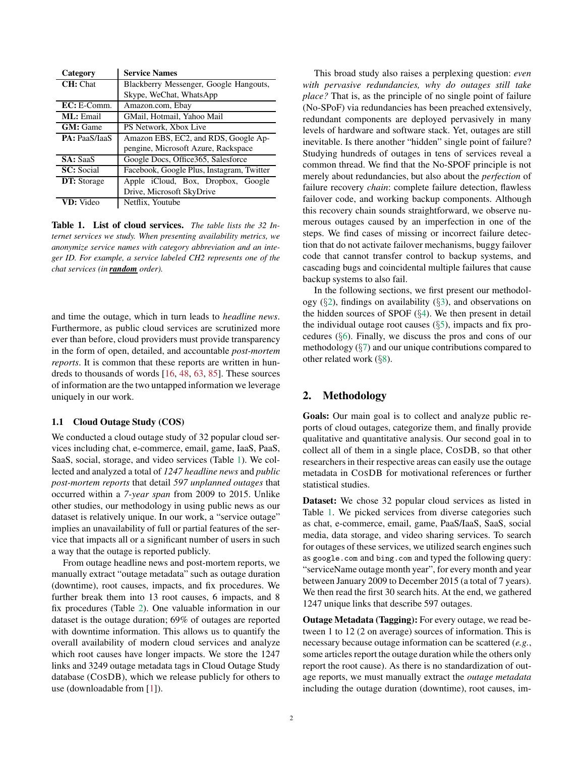| Category              | <b>Service Names</b>                      |  |  |  |  |  |  |
|-----------------------|-------------------------------------------|--|--|--|--|--|--|
| <b>CH</b> : Chat      | Blackberry Messenger, Google Hangouts,    |  |  |  |  |  |  |
|                       | Skype, WeChat, WhatsApp                   |  |  |  |  |  |  |
| $EC: E-Comm.$         | Amazon.com, Ebay                          |  |  |  |  |  |  |
| ML: Email             | GMail, Hotmail, Yahoo Mail                |  |  |  |  |  |  |
| <b>GM</b> : Game      | PS Network, Xbox Live                     |  |  |  |  |  |  |
| <b>PA</b> : PaaS/JaaS | Amazon EBS, EC2, and RDS, Google Ap-      |  |  |  |  |  |  |
|                       | pengine, Microsoft Azure, Rackspace       |  |  |  |  |  |  |
| <b>SA</b> : SaaS      | Google Docs, Office365, Salesforce        |  |  |  |  |  |  |
| <b>SC</b> : Social    | Facebook, Google Plus, Instagram, Twitter |  |  |  |  |  |  |
| <b>DT:</b> Storage    | Apple iCloud, Box, Dropbox, Google        |  |  |  |  |  |  |
|                       | Drive, Microsoft SkyDrive                 |  |  |  |  |  |  |
| VD: Video             | Netflix, Youtube                          |  |  |  |  |  |  |

<span id="page-1-0"></span>Table 1. List of cloud services. *The table lists the 32 Internet services we study. When presenting availability metrics, we anonymize service names with category abbreviation and an integer ID. For example, a service labeled CH2 represents one of the chat services (in random order).*

and time the outage, which in turn leads to *headline news*. Furthermore, as public cloud services are scrutinized more ever than before, cloud providers must provide transparency in the form of open, detailed, and accountable *post-mortem reports*. It is common that these reports are written in hundreds to thousands of words [\[16,](#page-12-5) [48,](#page-12-6) [63](#page-13-2), [85](#page-13-3)]. These sources of information are the two untapped information we leverage uniquely in our work.

## 1.1 Cloud Outage Study (COS)

We conducted a cloud outage study of 32 popular cloud services including chat, e-commerce, email, game, IaaS, PaaS, SaaS, social, storage, and video services (Table [1\)](#page-1-0). We collected and analyzed a total of *1247 headline news* and *public post-mortem reports* that detail *597 unplanned outages* that occurred within a *7-year span* from 2009 to 2015. Unlike other studies, our methodology in using public news as our dataset is relatively unique. In our work, a "service outage" implies an unavailability of full or partial features of the service that impacts all or a significant number of users in such a way that the outage is reported publicly.

From outage headline news and post-mortem reports, we manually extract "outage metadata" such as outage duration (downtime), root causes, impacts, and fix procedures. We further break them into 13 root causes, 6 impacts, and 8 fix procedures (Table [2\)](#page-2-0). One valuable information in our dataset is the outage duration; 69% of outages are reported with downtime information. This allows us to quantify the overall availability of modern cloud services and analyze which root causes have longer impacts. We store the 1247 links and 3249 outage metadata tags in Cloud Outage Study database (COSDB), which we release publicly for others to use (downloadable from [\[1\]](#page-12-7)).

This broad study also raises a perplexing question: *even with pervasive redundancies, why do outages still take place?* That is, as the principle of no single point of failure (No-SPoF) via redundancies has been preached extensively, redundant components are deployed pervasively in many levels of hardware and software stack. Yet, outages are still inevitable. Is there another "hidden" single point of failure? Studying hundreds of outages in tens of services reveal a common thread. We find that the No-SPOF principle is not merely about redundancies, but also about the *perfection* of failure recovery *chain*: complete failure detection, flawless failover code, and working backup components. Although this recovery chain sounds straightforward, we observe numerous outages caused by an imperfection in one of the steps. We find cases of missing or incorrect failure detection that do not activate failover mechanisms, buggy failover code that cannot transfer control to backup systems, and cascading bugs and coincidental multiple failures that cause backup systems to also fail.

In the following sections, we first present our methodology  $(\S2)$  $(\S2)$ , findings on availability  $(\S3)$  $(\S3)$ , and observations on the hidden sources of SPOF (§[4\)](#page-4-0). We then present in detail the individual outage root causes  $(\S5)$  $(\S5)$ , impacts and fix procedures (§[6\)](#page-9-0). Finally, we discuss the pros and cons of our methodology (§[7\)](#page-9-1) and our unique contributions compared to other related work  $(\S 8)$  $(\S 8)$ .

# <span id="page-1-1"></span>2. Methodology

Goals: Our main goal is to collect and analyze public reports of cloud outages, categorize them, and finally provide qualitative and quantitative analysis. Our second goal in to collect all of them in a single place, COSDB, so that other researchers in their respective areas can easily use the outage metadata in COSDB for motivational references or further statistical studies.

Dataset: We chose 32 popular cloud services as listed in Table [1.](#page-1-0) We picked services from diverse categories such as chat, e-commerce, email, game, PaaS/IaaS, SaaS, social media, data storage, and video sharing services. To search for outages of these services, we utilized search engines such as google.com and bing.com and typed the following query: "serviceName outage month year", for every month and year between January 2009 to December 2015 (a total of 7 years). We then read the first 30 search hits. At the end, we gathered 1247 unique links that describe 597 outages.

Outage Metadata (Tagging): For every outage, we read between 1 to 12 (2 on average) sources of information. This is necessary because outage information can be scattered (*e.g.*, some articles report the outage duration while the others only report the root cause). As there is no standardization of outage reports, we must manually extract the *outage metadata* including the outage duration (downtime), root causes, im-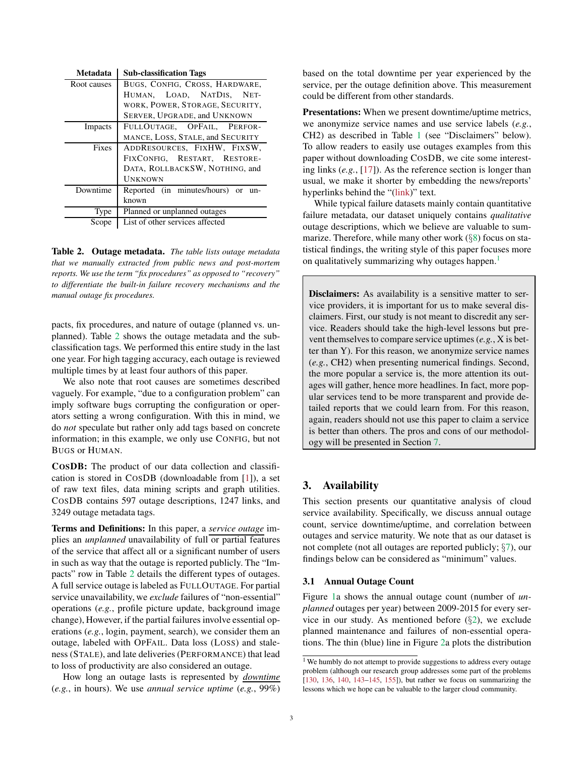| <b>Metadata</b> | <b>Sub-classification Tags</b>     |  |  |  |  |  |  |
|-----------------|------------------------------------|--|--|--|--|--|--|
| Root causes     | BUGS, CONFIG, CROSS, HARDWARE,     |  |  |  |  |  |  |
|                 | HUMAN, LOAD, NATDIS, NET-          |  |  |  |  |  |  |
|                 | WORK, POWER, STORAGE, SECURITY,    |  |  |  |  |  |  |
|                 | SERVER, UPGRADE, and UNKNOWN       |  |  |  |  |  |  |
| Impacts         | FULLOUTAGE, OPFAIL, PERFOR-        |  |  |  |  |  |  |
|                 | MANCE, LOSS, STALE, and SECURITY   |  |  |  |  |  |  |
| Fixes           | ADDRESOURCES, FIXHW, FIXSW,        |  |  |  |  |  |  |
|                 | FIXCONFIG, RESTART, RESTORE-       |  |  |  |  |  |  |
|                 | DATA, ROLLBACKSW, NOTHING, and     |  |  |  |  |  |  |
|                 | <b>UNKNOWN</b>                     |  |  |  |  |  |  |
| Downtime        | Reported (in minutes/hours) or un- |  |  |  |  |  |  |
|                 | known                              |  |  |  |  |  |  |
| Type            | Planned or unplanned outages       |  |  |  |  |  |  |
| Scope           | List of other services affected    |  |  |  |  |  |  |

<span id="page-2-0"></span>Table 2. Outage metadata. *The table lists outage metadata that we manually extracted from public news and post-mortem reports. We use the term "fix procedures" as opposed to "recovery" to differentiate the built-in failure recovery mechanisms and the manual outage fix procedures.*

pacts, fix procedures, and nature of outage (planned vs. unplanned). Table [2](#page-2-0) shows the outage metadata and the subclassification tags. We performed this entire study in the last one year. For high tagging accuracy, each outage is reviewed multiple times by at least four authors of this paper.

We also note that root causes are sometimes described vaguely. For example, "due to a configuration problem" can imply software bugs corrupting the configuration or operators setting a wrong configuration. With this in mind, we do *not* speculate but rather only add tags based on concrete information; in this example, we only use CONFIG, but not BUGS or HUMAN.

COSDB: The product of our data collection and classification is stored in COSDB (downloadable from [\[1\]](#page-12-7)), a set of raw text files, data mining scripts and graph utilities. COSDB contains 597 outage descriptions, 1247 links, and 3249 outage metadata tags.

Terms and Definitions: In this paper, a *service outage* implies an *unplanned* unavailability of full or partial features of the service that affect all or a significant number of users in such as way that the outage is reported publicly. The "Impacts" row in Table [2](#page-2-0) details the different types of outages. A full service outage is labeled as FULLOUTAGE. For partial service unavailability, we *exclude* failures of "non-essential" operations (*e.g.*, profile picture update, background image change), However, if the partial failures involve essential operations (*e.g.*, login, payment, search), we consider them an outage, labeled with OPFAIL. Data loss (LOSS) and staleness (STALE), and late deliveries (PERFORMANCE) that lead to loss of productivity are also considered an outage.

How long an outage lasts is represented by *downtime* (*e.g.*, in hours). We use *annual service uptime* (*e.g.*, 99%) based on the total downtime per year experienced by the service, per the outage definition above. This measurement could be different from other standards.

Presentations: When we present downtime/uptime metrics, we anonymize service names and use service labels (*e.g.*, CH2) as described in Table [1](#page-1-0) (see "Disclaimers" below). To allow readers to easily use outages examples from this paper without downloading COSDB, we cite some interesting links (*e.g.*, [\[17](#page-12-8)]). As the reference section is longer than usual, we make it shorter by embedding the news/reports' hyperlinks behind the "[\(link\)](http://aws.amazon.com/message/67457/)" text.

While typical failure datasets mainly contain quantitative failure metadata, our dataset uniquely contains *qualitative* outage descriptions, which we believe are valuable to summarize. Therefore, while many other work  $(\S 8)$  $(\S 8)$  focus on statistical findings, the writing style of this paper focuses more on qualitatively summarizing why outages happen.<sup>1</sup>

Disclaimers: As availability is a sensitive matter to service providers, it is important for us to make several disclaimers. First, our study is not meant to discredit any service. Readers should take the high-level lessons but prevent themselves to compare service uptimes (*e.g.*, X is better than Y). For this reason, we anonymize service names (*e.g.*, CH2) when presenting numerical findings. Second, the more popular a service is, the more attention its outages will gather, hence more headlines. In fact, more popular services tend to be more transparent and provide detailed reports that we could learn from. For this reason, again, readers should not use this paper to claim a service is better than others. The pros and cons of our methodology will be presented in Section [7.](#page-9-1)

# <span id="page-2-1"></span>3. Availability

This section presents our quantitative analysis of cloud service availability. Specifically, we discuss annual outage count, service downtime/uptime, and correlation between outages and service maturity. We note that as our dataset is not complete (not all outages are reported publicly; §[7\)](#page-9-1), our findings below can be considered as "minimum" values.

## 3.1 Annual Outage Count

Figure [1a](#page-3-0) shows the annual outage count (number of *unplanned* outages per year) between 2009-2015 for every service in our study. As mentioned before  $(\S2)$  $(\S2)$ , we exclude planned maintenance and failures of non-essential operations. The thin (blue) line in Figure [2a](#page-3-1) plots the distribution

<sup>&</sup>lt;sup>1</sup> We humbly do not attempt to provide suggestions to address every outage problem (although our research group addresses some part of the problems [\[130,](#page-14-11) [136](#page-14-12), [140](#page-14-13), [143](#page-15-11)[–145,](#page-15-12) [155](#page-15-13)]), but rather we focus on summarizing the lessons which we hope can be valuable to the larger cloud community.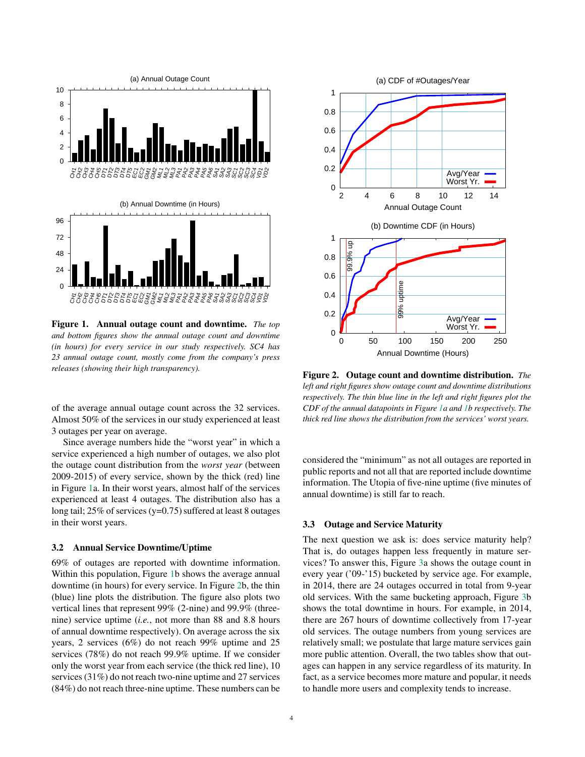

<span id="page-3-0"></span>Figure 1. Annual outage count and downtime. *The top and bottom figures show the annual outage count and downtime (in hours) for every service in our study respectively. SC4 has 23 annual outage count, mostly come from the company's press releases (showing their high transparency).*

of the average annual outage count across the 32 services. Almost 50% of the services in our study experienced at least 3 outages per year on average.

Since average numbers hide the "worst year" in which a service experienced a high number of outages, we also plot the outage count distribution from the *worst year* (between 2009-2015) of every service, shown by the thick (red) line in Figure [1a](#page-3-0). In their worst years, almost half of the services experienced at least 4 outages. The distribution also has a long tail; 25% of services (y=0.75) suffered at least 8 outages in their worst years.

#### 3.2 Annual Service Downtime/Uptime

69% of outages are reported with downtime information. Within this population, Figure [1b](#page-3-0) shows the average annual downtime (in hours) for every service. In Figure [2b](#page-3-1), the thin (blue) line plots the distribution. The figure also plots two vertical lines that represent 99% (2-nine) and 99.9% (threenine) service uptime (*i.e.*, not more than 88 and 8.8 hours of annual downtime respectively). On average across the six years, 2 services (6%) do not reach 99% uptime and 25 services (78%) do not reach 99.9% uptime. If we consider only the worst year from each service (the thick red line), 10 services (31%) do not reach two-nine uptime and 27 services (84%) do not reach three-nine uptime. These numbers can be



<span id="page-3-1"></span>Figure 2. Outage count and downtime distribution. *The left and right figures show outage count and downtime distributions respectively. The thin blue line in the left and right figures plot the CDF of the annual datapoints in Figure [1a](#page-3-0) and [1b](#page-3-0) respectively. The thick red line shows the distribution from the services' worst years.*

considered the "minimum" as not all outages are reported in public reports and not all that are reported include downtime information. The Utopia of five-nine uptime (five minutes of annual downtime) is still far to reach.

## 3.3 Outage and Service Maturity

The next question we ask is: does service maturity help? That is, do outages happen less frequently in mature services? To answer this, Figure [3a](#page-4-1) shows the outage count in every year ('09-'15) bucketed by service age. For example, in 2014, there are 24 outages occurred in total from 9-year old services. With the same bucketing approach, Figure [3b](#page-4-1) shows the total downtime in hours. For example, in 2014, there are 267 hours of downtime collectively from 17-year old services. The outage numbers from young services are relatively small; we postulate that large mature services gain more public attention. Overall, the two tables show that outages can happen in any service regardless of its maturity. In fact, as a service becomes more mature and popular, it needs to handle more users and complexity tends to increase.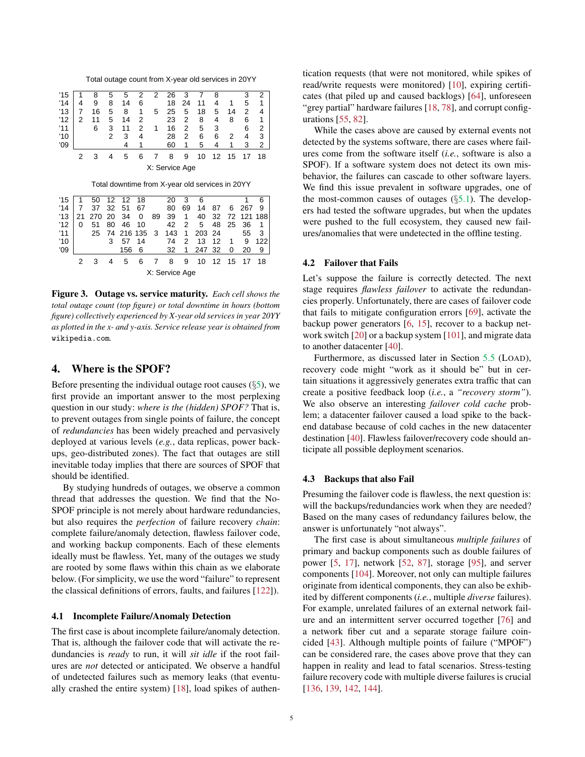|     |                | Total outage count from X-year old services in 20YY |                |     |                |                |     |                |                                                 |    |    |     |     |
|-----|----------------|-----------------------------------------------------|----------------|-----|----------------|----------------|-----|----------------|-------------------------------------------------|----|----|-----|-----|
| '15 | 1              | 8                                                   | 5              | 5   | 2              | $\overline{2}$ | 26  | 3              | 7                                               | 8  |    | 3   | 2   |
| '14 | 4              | 9                                                   | 8              | 14  | 6              |                | 18  | 24             | 11                                              | 4  | 1  | 5   | 1   |
| '13 | 7              | 16                                                  | 5              | 8   | 1              | 5              | 25  | 5              | 18                                              | 5  | 14 | 2   | 4   |
| '12 | 2              | 11                                                  | 5              | 14  | 2              |                | 23  | 2              | 8                                               | 4  | 8  | 6   | 1   |
| '11 |                | 6                                                   | 3              | 11  | $\overline{2}$ | 1              | 16  | 2              | 5                                               | 3  |    | 6   | 2   |
| '10 |                |                                                     | $\overline{2}$ | 3   | 4              |                | 28  | $\overline{2}$ | 6                                               | 6  | 2  | 4   | 3   |
| '09 |                |                                                     |                | 4   | 1              |                | 60  | 1              | 5                                               | 4  | 1  | 3   | 2   |
|     | 2              | 3                                                   | 4              | 5   | 6              | 7              | 8   | 9              | 10                                              | 12 | 15 | 17  | 18  |
|     | X: Service Age |                                                     |                |     |                |                |     |                |                                                 |    |    |     |     |
|     |                |                                                     |                |     |                |                |     |                |                                                 |    |    |     |     |
|     |                |                                                     |                |     |                |                |     |                | Total downtime from X-year old services in 20YY |    |    |     |     |
| '15 | 1              | 50                                                  | 12             | 12  | 18             |                | 20  | 3              | 6                                               |    |    | 1   | 6   |
| '14 | 7              | 37                                                  | 32             | 51  | 67             |                | 80  | 69             | 14                                              | 87 | 6  | 267 | 9   |
| '13 | 21             | 270                                                 | 20             | 34  | 0              | 89             | 39  | 1              | 40                                              | 32 | 72 | 121 | 188 |
| '12 | $\Omega$       | 51                                                  | 80             | 46  | 10             |                | 42  | $\overline{2}$ | 5                                               | 48 | 25 | 36  | 1   |
| '11 |                | 25                                                  | 74             | 216 | 135            | 3              | 143 | 1              | 203                                             | 24 |    | 55  | 3   |
| '10 |                |                                                     | 3              | 57  | 14             |                | 74  | 2              | 13                                              | 12 | 1  | 9   | 122 |
| '09 |                |                                                     |                | 156 | 6              |                | 32  | 1              | 247                                             | 32 | 0  | 20  | 9   |
|     | 2              | 3                                                   | 4              | 5   | 6              | 7              | 8   | 9              | 10                                              | 12 | 15 | 17  | 18  |

<span id="page-4-1"></span>Figure 3. Outage vs. service maturity. *Each cell shows the total outage count (top figure) or total downtime in hours (bottom figure) collectively experienced by X-year old services in year 20YY as plotted in the x- and y-axis. Service release year is obtained from* wikipedia.com*.*

## <span id="page-4-0"></span>4. Where is the SPOF?

Before presenting the individual outage root causes  $(\S$ [5\)](#page-5-0), we first provide an important answer to the most perplexing question in our study: *where is the (hidden) SPOF?* That is, to prevent outages from single points of failure, the concept of *redundancies* has been widely preached and pervasively deployed at various levels (*e.g.*, data replicas, power backups, geo-distributed zones). The fact that outages are still inevitable today implies that there are sources of SPOF that should be identified.

By studying hundreds of outages, we observe a common thread that addresses the question. We find that the No-SPOF principle is not merely about hardware redundancies, but also requires the *perfection* of failure recovery *chain*: complete failure/anomaly detection, flawless failover code, and working backup components. Each of these elements ideally must be flawless. Yet, many of the outages we study are rooted by some flaws within this chain as we elaborate below. (For simplicity, we use the word "failure" to represent the classical definitions of errors, faults, and failures [\[122\]](#page-14-14)).

## 4.1 Incomplete Failure/Anomaly Detection

The first case is about incomplete failure/anomaly detection. That is, although the failover code that will activate the redundancies is *ready* to run, it will *sit idle* if the root failures are *not* detected or anticipated. We observe a handful of undetected failures such as memory leaks (that eventually crashed the entire system) [\[18\]](#page-12-9), load spikes of authentication requests (that were not monitored, while spikes of read/write requests were monitored) [\[10\]](#page-12-10), expiring certificates (that piled up and caused backlogs) [\[64](#page-13-4)], unforeseen "grey partial" hardware failures [\[18,](#page-12-9) [78](#page-13-5)], and corrupt configurations [\[55,](#page-13-6) [82\]](#page-13-7).

While the cases above are caused by external events not detected by the systems software, there are cases where failures come from the software itself (*i.e.*, software is also a SPOF). If a software system does not detect its own misbehavior, the failures can cascade to other software layers. We find this issue prevalent in software upgrades, one of the most-common causes of outages  $(\S 5.1)$  $(\S 5.1)$ . The developers had tested the software upgrades, but when the updates were pushed to the full ecosystem, they caused new failures/anomalies that were undetected in the offline testing.

### 4.2 Failover that Fails

Let's suppose the failure is correctly detected. The next stage requires *flawless failover* to activate the redundancies properly. Unfortunately, there are cases of failover code that fails to mitigate configuration errors [\[69\]](#page-13-8), activate the backup power generators [\[6,](#page-12-11) [15\]](#page-12-12), recover to a backup network switch [\[20](#page-12-13)] or a backup system [\[101\]](#page-13-9), and migrate data to another datacenter [\[40\]](#page-12-14).

Furthermore, as discussed later in Section [5.5](#page-7-0) (LOAD), recovery code might "work as it should be" but in certain situations it aggressively generates extra traffic that can create a positive feedback loop (*i.e.*, a *"recovery storm"*). We also observe an interesting *failover cold cache* problem; a datacenter failover caused a load spike to the backend database because of cold caches in the new datacenter destination [\[40\]](#page-12-14). Flawless failover/recovery code should anticipate all possible deployment scenarios.

## 4.3 Backups that also Fail

Presuming the failover code is flawless, the next question is: will the backups/redundancies work when they are needed? Based on the many cases of redundancy failures below, the answer is unfortunately "not always".

The first case is about simultaneous *multiple failures* of primary and backup components such as double failures of power [\[5](#page-12-15), [17\]](#page-12-8), network [\[52,](#page-13-10) [87](#page-13-11)], storage [\[95\]](#page-13-12), and server components [\[104](#page-14-15)]. Moreover, not only can multiple failures originate from identical components, they can also be exhibited by different components (*i.e.*, multiple *diverse* failures). For example, unrelated failures of an external network failure and an intermittent server occurred together [\[76](#page-13-13)] and a network fiber cut and a separate storage failure coincided [\[43\]](#page-12-16). Although multiple points of failure ("MPOF") can be considered rare, the cases above prove that they can happen in reality and lead to fatal scenarios. Stress-testing failure recovery code with multiple diverse failures is crucial [\[136,](#page-14-12) [139](#page-14-16), [142](#page-15-14), [144](#page-15-15)].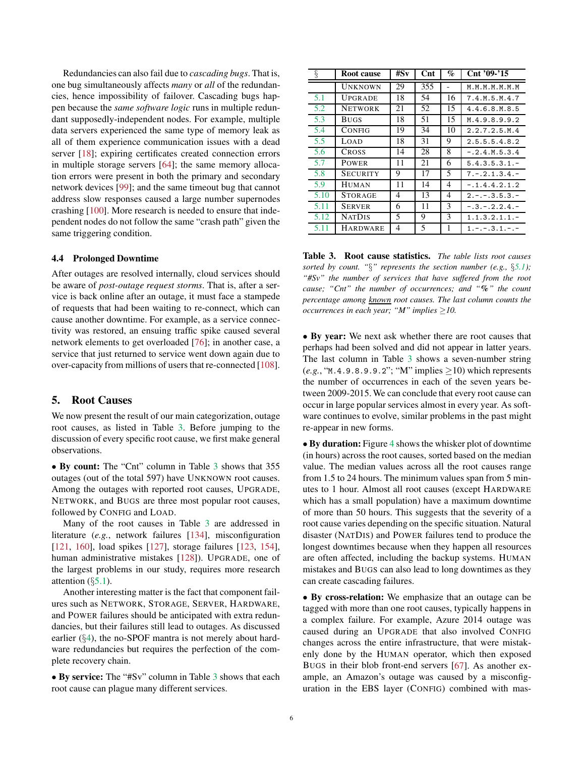Redundancies can also fail due to *cascading bugs*. That is, one bug simultaneously affects *many* or *all* of the redundancies, hence impossibility of failover. Cascading bugs happen because the *same software logic* runs in multiple redundant supposedly-independent nodes. For example, multiple data servers experienced the same type of memory leak as all of them experience communication issues with a dead server [\[18\]](#page-12-9); expiring certificates created connection errors in multiple storage servers [\[64\]](#page-13-4); the same memory allocation errors were present in both the primary and secondary network devices [\[99\]](#page-13-14); and the same timeout bug that cannot address slow responses caused a large number supernodes crashing [\[100\]](#page-13-15). More research is needed to ensure that independent nodes do not follow the same "crash path" given the same triggering condition.

#### 4.4 Prolonged Downtime

After outages are resolved internally, cloud services should be aware of *post-outage request storms*. That is, after a service is back online after an outage, it must face a stampede of requests that had been waiting to re-connect, which can cause another downtime. For example, as a service connectivity was restored, an ensuing traffic spike caused several network elements to get overloaded [\[76\]](#page-13-13); in another case, a service that just returned to service went down again due to over-capacity from millions of users that re-connected [\[108\]](#page-14-17).

## <span id="page-5-0"></span>5. Root Causes

We now present the result of our main categorization, outage root causes, as listed in Table [3.](#page-5-1) Before jumping to the discussion of every specific root cause, we first make general observations.

• By count: The "Cnt" column in Table [3](#page-5-1) shows that 355 outages (out of the total 597) have UNKNOWN root causes. Among the outages with reported root causes, UPGRADE, NETWORK, and BUGS are three most popular root causes, followed by CONFIG and LOAD.

Many of the root causes in Table [3](#page-5-1) are addressed in literature (*e.g.*, network failures [\[134\]](#page-14-4), misconfiguration [\[121](#page-14-18), [160\]](#page-15-16), load spikes [\[127\]](#page-14-19), storage failures [\[123,](#page-14-20) [154\]](#page-15-17), human administrative mistakes [\[128\]](#page-14-21)). UPGRADE, one of the largest problems in our study, requires more research attention  $(\S5.1)$  $(\S5.1)$ .

Another interesting matter is the fact that component failures such as NETWORK, STORAGE, SERVER, HARDWARE, and POWER failures should be anticipated with extra redundancies, but their failures still lead to outages. As discussed earlier (§[4\)](#page-4-0), the no-SPOF mantra is not merely about hardware redundancies but requires the perfection of the complete recovery chain.

• By service: The "#Sv" column in Table [3](#page-5-1) shows that each root cause can plague many different services.

| ş    | Root cause      | #Sv | $\mathbf{Cnt}$ | $\%$ | $Cnt '09-'15$           |
|------|-----------------|-----|----------------|------|-------------------------|
|      | <b>UNKNOWN</b>  | 29  | 355            |      | M.M.M.M.M.M.M           |
| 5.1  | <b>UPGRADE</b>  | 18  | 54             | 16   | 7.4.M.5.M.4.7           |
| 5.2  | <b>NETWORK</b>  | 21  | 52             | 15   | 4.4.6.8.M.8.5           |
| 5.3  | <b>BUGS</b>     | 18  | 51             | 15   | M.4.9.8.9.9.2           |
| 5.4  | <b>CONFIG</b>   | 19  | 34             | 10   | 2.2.7.2.5.M.4           |
| 5.5  | LOAD            | 18  | 31             | 9    | 2.5.5.5.4.8.2           |
| 5.6  | <b>CROSS</b>    | 14  | 28             | 8    | $-.2.4. M.5.3.4$        |
| 5.7  | <b>POWER</b>    | 11  | 21             | 6    | 5.4.3.5.3.1.            |
| 5.8  | <b>SECURITY</b> | 9   | 17             | 5    | $7. - .2.1.3.4. -$      |
| 5.9  | <b>HUMAN</b>    | 11  | 14             | 4    | $-.1.4.4.2.1.2$         |
| 5.10 | <b>STORAGE</b>  | 4   | 13             | 4    | $2. - - - 0.3.5.3. -$   |
| 5.11 | <b>SERVER</b>   | 6   | 11             | 3    | $-.3. - .2.2.4. -$      |
| 5.12 | <b>NATDIS</b>   | 5   | 9              | 3    | 1.1.3.2.1.1.            |
| 5.11 | <b>HARDWARE</b> | 4   | 5              | 1    | $1. - - - 0.3.1. - - -$ |

<span id="page-5-1"></span>Table 3. Root cause statistics. *The table lists root causes sorted by count. "*§*" represents the section number (e.g.,* §*[5.1\)](#page-6-0); "#Sv" the number of services that have suffered from the root cause; "Cnt" the number of occurrences; and "*%*" the count percentage among known root causes. The last column counts the occurrences in each year; "M" implies* ≥*10.*

• By year: We next ask whether there are root causes that perhaps had been solved and did not appear in latter years. The last column in Table [3](#page-5-1) shows a seven-number string (*e.g.*, "M.4.9.8.9.9.2"; "M" implies ≥10) which represents the number of occurrences in each of the seven years between 2009-2015.We can conclude that every root cause can occur in large popular services almost in every year. As software continues to evolve, similar problems in the past might re-appear in new forms.

• By duration: Figure [4](#page-6-2) shows the whisker plot of downtime (in hours) across the root causes, sorted based on the median value. The median values across all the root causes range from 1.5 to 24 hours. The minimum values span from 5 minutes to 1 hour. Almost all root causes (except HARDWARE which has a small population) have a maximum downtime of more than 50 hours. This suggests that the severity of a root cause varies depending on the specific situation. Natural disaster (NATDIS) and POWER failures tend to produce the longest downtimes because when they happen all resources are often affected, including the backup systems. HUMAN mistakes and BUGS can also lead to long downtimes as they can create cascading failures.

• By cross-relation: We emphasize that an outage can be tagged with more than one root causes, typically happens in a complex failure. For example, Azure 2014 outage was caused during an UPGRADE that also involved CONFIG changes across the entire infrastructure, that were mistakenly done by the HUMAN operator, which then exposed BUGS in their blob front-end servers [\[67\]](#page-13-16). As another example, an Amazon's outage was caused by a misconfiguration in the EBS layer (CONFIG) combined with mas-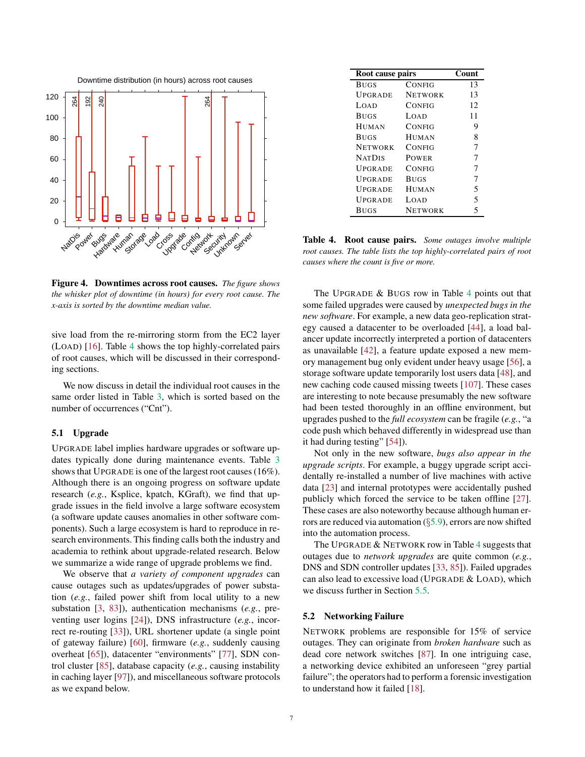

Root cause pairs Count BUGS CONFIG 13 UPGRADE NETWORK 13 LOAD CONFIG 12 BUGS LOAD 11 HUMAN CONFIG 9 BUGS HUMAN 8 NETWORK CONFIG 7 NATDIS POWER 7 UPGRADE CONFIG 7 UPGRADE BUGS 7 UPGRADE HUMAN 5 UPGRADE LOAD 5 BUGS NETWORK 5

<span id="page-6-3"></span>Table 4. Root cause pairs. *Some outages involve multiple root causes. The table lists the top highly-correlated pairs of root causes where the count is five or more.*

<span id="page-6-2"></span>Figure 4. Downtimes across root causes. *The figure shows the whisker plot of downtime (in hours) for every root cause. The x-axis is sorted by the downtime median value.*

sive load from the re-mirroring storm from the EC2 layer (LOAD) [\[16](#page-12-5)]. Table [4](#page-6-3) shows the top highly-correlated pairs of root causes, which will be discussed in their corresponding sections.

We now discuss in detail the individual root causes in the same order listed in Table [3,](#page-5-1) which is sorted based on the number of occurrences ("Cnt").

#### <span id="page-6-0"></span>5.1 Upgrade

UPGRADE label implies hardware upgrades or software updates typically done during maintenance events. Table [3](#page-5-1) shows that UPGRADE is one of the largest root causes (16%). Although there is an ongoing progress on software update research (*e.g.*, Ksplice, kpatch, KGraft), we find that upgrade issues in the field involve a large software ecosystem (a software update causes anomalies in other software components). Such a large ecosystem is hard to reproduce in research environments. This finding calls both the industry and academia to rethink about upgrade-related research. Below we summarize a wide range of upgrade problems we find.

We observe that *a variety of component upgrades* can cause outages such as updates/upgrades of power substation (*e.g.*, failed power shift from local utility to a new substation [\[3](#page-12-17), [83](#page-13-17)]), authentication mechanisms (*e.g.*, preventing user logins [\[24](#page-12-18)]), DNS infrastructure (*e.g.*, incorrect re-routing [\[33\]](#page-12-19)), URL shortener update (a single point of gateway failure) [\[60\]](#page-13-18), firmware (*e.g.*, suddenly causing overheat [\[65](#page-13-19)]), datacenter "environments" [\[77](#page-13-20)], SDN control cluster [\[85](#page-13-3)], database capacity (*e.g.*, causing instability in caching layer [\[97\]](#page-13-21)), and miscellaneous software protocols as we expand below.

The UPGRADE  $& BUGS$  row in Table [4](#page-6-3) points out that some failed upgrades were caused by *unexpected bugs in the new software*. For example, a new data geo-replication strategy caused a datacenter to be overloaded [\[44\]](#page-12-20), a load balancer update incorrectly interpreted a portion of datacenters as unavailable [\[42\]](#page-12-21), a feature update exposed a new memory management bug only evident under heavy usage [\[56\]](#page-13-22), a storage software update temporarily lost users data [\[48\]](#page-12-6), and new caching code caused missing tweets [\[107\]](#page-14-22). These cases are interesting to note because presumably the new software had been tested thoroughly in an offline environment, but upgrades pushed to the *full ecosystem* can be fragile (*e.g.*, "a code push which behaved differently in widespread use than it had during testing" [\[54](#page-13-23)]).

Not only in the new software, *bugs also appear in the upgrade scripts*. For example, a buggy upgrade script accidentally re-installed a number of live machines with active data [\[23](#page-12-22)] and internal prototypes were accidentally pushed publicly which forced the service to be taken offline [\[27](#page-12-23)]. These cases are also noteworthy because although human errors are reduced via automation (§[5.9\)](#page-9-2), errors are now shifted into the automation process.

The UPGRADE & NETWORK row in Table [4](#page-6-3) suggests that outages due to *network upgrades* are quite common (*e.g.*, DNS and SDN controller updates [\[33](#page-12-19), [85](#page-13-3)]). Failed upgrades can also lead to excessive load (UPGRADE & LOAD), which we discuss further in Section [5.5.](#page-7-0)

## <span id="page-6-1"></span>5.2 Networking Failure

NETWORK problems are responsible for 15% of service outages. They can originate from *broken hardware* such as dead core network switches [\[87\]](#page-13-11). In one intriguing case, a networking device exhibited an unforeseen "grey partial failure"; the operators had to perform a forensic investigation to understand how it failed [\[18](#page-12-9)].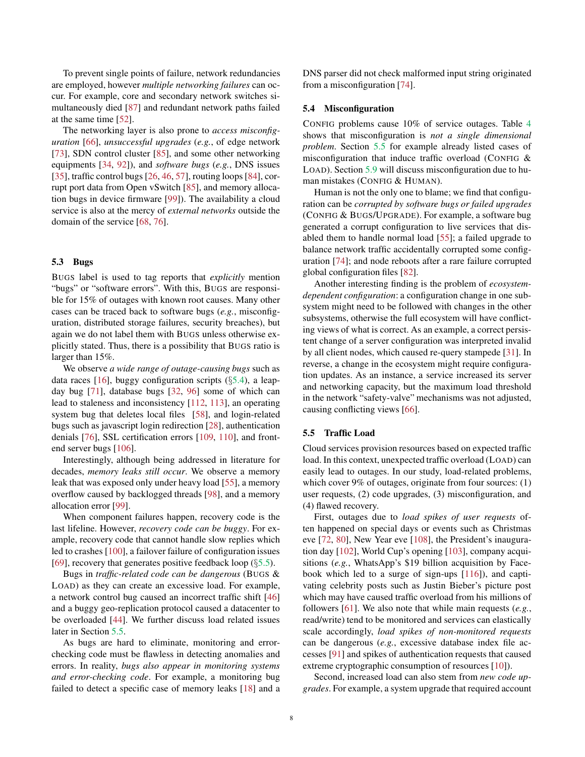To prevent single points of failure, network redundancies are employed, however *multiple networking failures* can occur. For example, core and secondary network switches simultaneously died [\[87](#page-13-11)] and redundant network paths failed at the same time [\[52\]](#page-13-10).

The networking layer is also prone to *access misconfiguration* [\[66\]](#page-13-24), *unsuccessful upgrades* (*e.g.*, of edge network [\[73](#page-13-25)], SDN control cluster [\[85\]](#page-13-3), and some other networking equipments [\[34,](#page-12-24) [92\]](#page-13-26)), and *software bugs* (*e.g.*, DNS issues [\[35](#page-12-25)], traffic control bugs [\[26,](#page-12-26) [46,](#page-12-27) [57\]](#page-13-27), routing loops [\[84\]](#page-13-28), corrupt port data from Open vSwitch [\[85\]](#page-13-3), and memory allocation bugs in device firmware [\[99\]](#page-13-14)). The availability a cloud service is also at the mercy of *external networks* outside the domain of the service [\[68,](#page-13-29) [76\]](#page-13-13).

## <span id="page-7-1"></span>5.3 Bugs

BUGS label is used to tag reports that *explicitly* mention "bugs" or "software errors". With this, BUGS are responsible for 15% of outages with known root causes. Many other cases can be traced back to software bugs (*e.g.*, misconfiguration, distributed storage failures, security breaches), but again we do not label them with BUGS unless otherwise explicitly stated. Thus, there is a possibility that BUGS ratio is larger than 15%.

We observe *a wide range of outage-causing bugs* such as data races [\[16\]](#page-12-5), buggy configuration scripts  $(\S5.4)$  $(\S5.4)$ , a leapday bug [\[71\]](#page-13-30), database bugs [\[32](#page-12-28), [96\]](#page-13-31) some of which can lead to staleness and inconsistency [\[112,](#page-14-23) [113\]](#page-14-24), an operating system bug that deletes local files [\[58\]](#page-13-32), and login-related bugs such as javascript login redirection [\[28\]](#page-12-29), authentication denials [\[76\]](#page-13-13), SSL certification errors [\[109,](#page-14-25) [110\]](#page-14-26), and frontend server bugs [\[106\]](#page-14-27).

Interestingly, although being addressed in literature for decades, *memory leaks still occur*. We observe a memory leak that was exposed only under heavy load [\[55\]](#page-13-6), a memory overflow caused by backlogged threads [\[98](#page-13-33)], and a memory allocation error [\[99\]](#page-13-14).

When component failures happen, recovery code is the last lifeline. However, *recovery code can be buggy*. For example, recovery code that cannot handle slow replies which led to crashes [\[100](#page-13-15)], a failover failure of configuration issues [\[69](#page-13-8)], recovery that generates positive feedback loop  $(\S 5.5)$  $(\S 5.5)$ .

Bugs in *traffic-related code can be dangerous* (BUGS & LOAD) as they can create an excessive load. For example, a network control bug caused an incorrect traffic shift [\[46\]](#page-12-27) and a buggy geo-replication protocol caused a datacenter to be overloaded [\[44](#page-12-20)]. We further discuss load related issues later in Section [5.5.](#page-7-0)

As bugs are hard to eliminate, monitoring and errorchecking code must be flawless in detecting anomalies and errors. In reality, *bugs also appear in monitoring systems and error-checking code*. For example, a monitoring bug failed to detect a specific case of memory leaks [\[18\]](#page-12-9) and a DNS parser did not check malformed input string originated from a misconfiguration [\[74](#page-13-34)].

## <span id="page-7-2"></span>5.4 Misconfiguration

CONFIG problems cause 10% of service outages. Table [4](#page-6-3) shows that misconfiguration is *not a single dimensional problem*. Section [5.5](#page-7-0) for example already listed cases of misconfiguration that induce traffic overload (CONFIG & LOAD). Section [5.9](#page-9-2) will discuss misconfiguration due to human mistakes (CONFIG & HUMAN).

Human is not the only one to blame; we find that configuration can be *corrupted by software bugs or failed upgrades* (CONFIG & BUGS/UPGRADE). For example, a software bug generated a corrupt configuration to live services that disabled them to handle normal load [\[55\]](#page-13-6); a failed upgrade to balance network traffic accidentally corrupted some configuration [\[74\]](#page-13-34); and node reboots after a rare failure corrupted global configuration files [\[82\]](#page-13-7).

Another interesting finding is the problem of *ecosystemdependent configuration*: a configuration change in one subsystem might need to be followed with changes in the other subsystems, otherwise the full ecosystem will have conflicting views of what is correct. As an example, a correct persistent change of a server configuration was interpreted invalid by all client nodes, which caused re-query stampede [\[31\]](#page-12-30). In reverse, a change in the ecosystem might require configuration updates. As an instance, a service increased its server and networking capacity, but the maximum load threshold in the network "safety-valve" mechanisms was not adjusted, causing conflicting views [\[66\]](#page-13-24).

#### <span id="page-7-0"></span>5.5 Traffic Load

Cloud services provision resources based on expected traffic load. In this context, unexpected traffic overload (LOAD) can easily lead to outages. In our study, load-related problems, which cover 9% of outages, originate from four sources: (1) user requests, (2) code upgrades, (3) misconfiguration, and (4) flawed recovery.

First, outages due to *load spikes of user requests* often happened on special days or events such as Christmas eve [\[72,](#page-13-35) [80\]](#page-13-36), New Year eve [\[108\]](#page-14-17), the President's inauguration day [\[102](#page-13-37)], World Cup's opening [\[103](#page-13-38)], company acquisitions (*e.g.*, WhatsApp's \$19 billion acquisition by Facebook which led to a surge of sign-ups [\[116\]](#page-14-28)), and captivating celebrity posts such as Justin Bieber's picture post which may have caused traffic overload from his millions of followers [\[61\]](#page-13-39). We also note that while main requests (*e.g.*, read/write) tend to be monitored and services can elastically scale accordingly, *load spikes of non-monitored requests* can be dangerous (*e.g.*, excessive database index file accesses [\[91\]](#page-13-40) and spikes of authentication requests that caused extreme cryptographic consumption of resources [\[10\]](#page-12-10)).

Second, increased load can also stem from *new code upgrades*. For example, a system upgrade that required account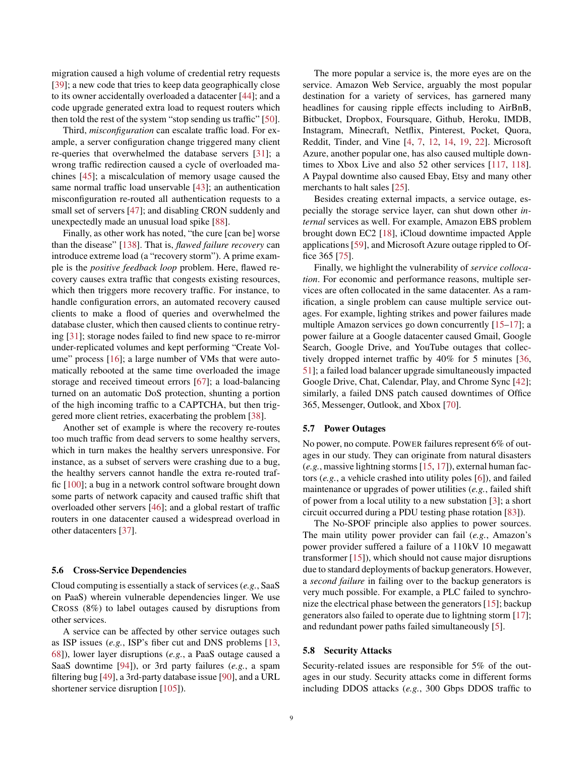migration caused a high volume of credential retry requests [\[39](#page-12-31)]; a new code that tries to keep data geographically close to its owner accidentally overloaded a datacenter [\[44\]](#page-12-20); and a code upgrade generated extra load to request routers which then told the rest of the system "stop sending us traffic" [\[50](#page-12-32)].

Third, *misconfiguration* can escalate traffic load. For example, a server configuration change triggered many client re-queries that overwhelmed the database servers [\[31](#page-12-30)]; a wrong traffic redirection caused a cycle of overloaded machines [\[45](#page-12-33)]; a miscalculation of memory usage caused the same normal traffic load unservable [\[43](#page-12-16)]; an authentication misconfiguration re-routed all authentication requests to a small set of servers [\[47](#page-12-34)]; and disabling CRON suddenly and unexpectedly made an unusual load spike [\[88](#page-13-41)].

Finally, as other work has noted, "the cure [can be] worse than the disease" [\[138](#page-14-29)]. That is, *flawed failure recovery* can introduce extreme load (a "recovery storm"). A prime example is the *positive feedback loop* problem. Here, flawed recovery causes extra traffic that congests existing resources, which then triggers more recovery traffic. For instance, to handle configuration errors, an automated recovery caused clients to make a flood of queries and overwhelmed the database cluster, which then caused clients to continue retrying [\[31\]](#page-12-30); storage nodes failed to find new space to re-mirror under-replicated volumes and kept performing "Create Vol-ume" process [\[16\]](#page-12-5); a large number of VMs that were automatically rebooted at the same time overloaded the image storage and received timeout errors [\[67](#page-13-16)]; a load-balancing turned on an automatic DoS protection, shunting a portion of the high incoming traffic to a CAPTCHA, but then triggered more client retries, exacerbating the problem [\[38](#page-12-35)].

Another set of example is where the recovery re-routes too much traffic from dead servers to some healthy servers, which in turn makes the healthy servers unresponsive. For instance, as a subset of servers were crashing due to a bug, the healthy servers cannot handle the extra re-routed traffic [\[100\]](#page-13-15); a bug in a network control software brought down some parts of network capacity and caused traffic shift that overloaded other servers [\[46\]](#page-12-27); and a global restart of traffic routers in one datacenter caused a widespread overload in other datacenters [\[37\]](#page-12-36).

#### <span id="page-8-0"></span>5.6 Cross-Service Dependencies

Cloud computing is essentially a stack of services (*e.g.*, SaaS on PaaS) wherein vulnerable dependencies linger. We use CROSS (8%) to label outages caused by disruptions from other services.

A service can be affected by other service outages such as ISP issues (*e.g.*, ISP's fiber cut and DNS problems [\[13,](#page-12-37) [68\]](#page-13-29)), lower layer disruptions (*e.g.*, a PaaS outage caused a SaaS downtime [\[94\]](#page-13-42)), or 3rd party failures (*e.g.*, a spam filtering bug [\[49\]](#page-12-38), a 3rd-party database issue [\[90\]](#page-13-43), and a URL shortener service disruption [\[105\]](#page-14-30)).

The more popular a service is, the more eyes are on the service. Amazon Web Service, arguably the most popular destination for a variety of services, has garnered many headlines for causing ripple effects including to AirBnB, Bitbucket, Dropbox, Foursquare, Github, Heroku, IMDB, Instagram, Minecraft, Netflix, Pinterest, Pocket, Quora, Reddit, Tinder, and Vine [\[4](#page-12-39), [7](#page-12-40), [12,](#page-12-41) [14,](#page-12-42) [19](#page-12-1), [22](#page-12-43)]. Microsoft Azure, another popular one, has also caused multiple downtimes to Xbox Live and also 52 other services [\[117,](#page-14-0) [118](#page-14-1)]. A Paypal downtime also caused Ebay, Etsy and many other merchants to halt sales [\[25](#page-12-44)].

Besides creating external impacts, a service outage, especially the storage service layer, can shut down other *internal* services as well. For example, Amazon EBS problem brought down EC2 [\[18](#page-12-9)], iCloud downtime impacted Apple applications [\[59\]](#page-13-44), and Microsoft Azure outage rippled to Office 365 [\[75\]](#page-13-45).

Finally, we highlight the vulnerability of *service collocation*. For economic and performance reasons, multiple services are often collocated in the same datacenter. As a ramification, a single problem can cause multiple service outages. For example, lighting strikes and power failures made multiple Amazon services go down concurrently [\[15](#page-12-12)[–17\]](#page-12-8); a power failure at a Google datacenter caused Gmail, Google Search, Google Drive, and YouTube outages that collectively dropped internet traffic by 40% for 5 minutes [\[36,](#page-12-3) [51](#page-12-45)]; a failed load balancer upgrade simultaneously impacted Google Drive, Chat, Calendar, Play, and Chrome Sync [\[42](#page-12-21)]; similarly, a failed DNS patch caused downtimes of Office 365, Messenger, Outlook, and Xbox [\[70](#page-13-46)].

#### <span id="page-8-1"></span>5.7 Power Outages

No power, no compute. POWER failures represent 6% of outages in our study. They can originate from natural disasters (*e.g.*, massive lightning storms [\[15](#page-12-12), [17\]](#page-12-8)), external human factors (*e.g.*, a vehicle crashed into utility poles [\[6\]](#page-12-11)), and failed maintenance or upgrades of power utilities (*e.g.*, failed shift of power from a local utility to a new substation [\[3\]](#page-12-17); a short circuit occurred during a PDU testing phase rotation [\[83](#page-13-17)]).

The No-SPOF principle also applies to power sources. The main utility power provider can fail (*e.g.*, Amazon's power provider suffered a failure of a 110kV 10 megawatt transformer [\[15](#page-12-12)]), which should not cause major disruptions due to standard deployments of backup generators. However, a *second failure* in failing over to the backup generators is very much possible. For example, a PLC failed to synchronize the electrical phase between the generators [\[15](#page-12-12)]; backup generators also failed to operate due to lightning storm [\[17](#page-12-8)]; and redundant power paths failed simultaneously [\[5](#page-12-15)].

## <span id="page-8-2"></span>5.8 Security Attacks

Security-related issues are responsible for 5% of the outages in our study. Security attacks come in different forms including DDOS attacks (*e.g.*, 300 Gbps DDOS traffic to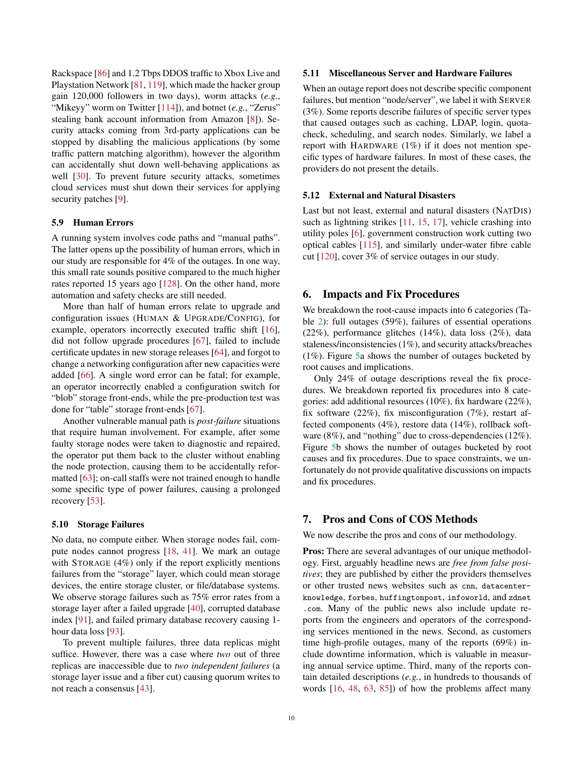Rackspace [\[86\]](#page-13-47) and 1.2 Tbps DDOS traffic to Xbox Live and Playstation Network [\[81](#page-13-48), [119\]](#page-14-31), which made the hacker group gain 120,000 followers in two days), worm attacks (*e.g.*, "Mikeyy" worm on Twitter [\[114\]](#page-14-32)), and botnet (*e.g.*, "Zerus" stealing bank account information from Amazon [\[8\]](#page-12-46)). Security attacks coming from 3rd-party applications can be stopped by disabling the malicious applications (by some traffic pattern matching algorithm), however the algorithm can accidentally shut down well-behaving applications as well [\[30\]](#page-12-47). To prevent future security attacks, sometimes cloud services must shut down their services for applying security patches [\[9\]](#page-12-48).

## <span id="page-9-2"></span>5.9 Human Errors

A running system involves code paths and "manual paths". The latter opens up the possibility of human errors, which in our study are responsible for 4% of the outages. In one way, this small rate sounds positive compared to the much higher rates reported 15 years ago [\[128\]](#page-14-21). On the other hand, more automation and safety checks are still needed.

More than half of human errors relate to upgrade and configuration issues (HUMAN & UPGRADE/CONFIG), for example, operators incorrectly executed traffic shift [\[16](#page-12-5)], did not follow upgrade procedures [\[67](#page-13-16)], failed to include certificate updates in new storage releases [\[64\]](#page-13-4), and forgot to change a networking configuration after new capacities were added [\[66\]](#page-13-24). A single word error can be fatal; for example, an operator incorrectly enabled a configuration switch for "blob" storage front-ends, while the pre-production test was done for "table" storage front-ends [\[67\]](#page-13-16).

Another vulnerable manual path is *post-failure* situations that require human involvement. For example, after some faulty storage nodes were taken to diagnostic and repaired, the operator put them back to the cluster without enabling the node protection, causing them to be accidentally reformatted [\[63\]](#page-13-2); on-call staffs were not trained enough to handle some specific type of power failures, causing a prolonged recovery [\[53\]](#page-13-49).

#### <span id="page-9-3"></span>5.10 Storage Failures

No data, no compute either. When storage nodes fail, compute nodes cannot progress [\[18,](#page-12-9) [41](#page-12-49)]. We mark an outage with STORAGE (4%) only if the report explicitly mentions failures from the "storage" layer, which could mean storage devices, the entire storage cluster, or file/database systems. We observe storage failures such as 75% error rates from a storage layer after a failed upgrade [\[40\]](#page-12-14), corrupted database index [\[91](#page-13-40)], and failed primary database recovery causing 1 hour data loss [\[93](#page-13-50)].

To prevent multiple failures, three data replicas might suffice. However, there was a case where *two* out of three replicas are inaccessible due to *two independent failures* (a storage layer issue and a fiber cut) causing quorum writes to not reach a consensus [\[43](#page-12-16)].

## <span id="page-9-4"></span>5.11 Miscellaneous Server and Hardware Failures

When an outage report does not describe specific component failures, but mention "node/server", we label it with SERVER (3%). Some reports describe failures of specific server types that caused outages such as caching, LDAP, login, quotacheck, scheduling, and search nodes. Similarly, we label a report with HARDWARE  $(1\%)$  if it does not mention specific types of hardware failures. In most of these cases, the providers do not present the details.

#### <span id="page-9-5"></span>5.12 External and Natural Disasters

Last but not least, external and natural disasters (NATDIS) such as lightning strikes [\[11,](#page-12-50) [15](#page-12-12), [17\]](#page-12-8), vehicle crashing into utility poles [\[6](#page-12-11)], government construction work cutting two optical cables [\[115\]](#page-14-33), and similarly under-water fibre cable cut [\[120\]](#page-14-34), cover 3% of service outages in our study.

## <span id="page-9-0"></span>6. Impacts and Fix Procedures

We breakdown the root-cause impacts into 6 categories (Table [2\)](#page-2-0): full outages (59%), failures of essential operations (22%), performance glitches (14%), data loss (2%), data staleness/inconsistencies (1%), and security attacks/breaches (1%). Figure [5a](#page-10-1) shows the number of outages bucketed by root causes and implications.

Only 24% of outage descriptions reveal the fix procedures. We breakdown reported fix procedures into 8 categories: add additional resources (10%), fix hardware (22%), fix software  $(22\%)$ , fix misconfiguration  $(7\%)$ , restart affected components (4%), restore data (14%), rollback software (8%), and "nothing" due to cross-dependencies (12%). Figure [5b](#page-10-1) shows the number of outages bucketed by root causes and fix procedures. Due to space constraints, we unfortunately do not provide qualitative discussions on impacts and fix procedures.

## <span id="page-9-1"></span>7. Pros and Cons of COS Methods

We now describe the pros and cons of our methodology.

Pros: There are several advantages of our unique methodology. First, arguably headline news are *free from false positives*; they are published by either the providers themselves or other trusted news websites such as cnn, datacenterknowledge, forbes, huffingtonpost, infoworld, and zdnet .com. Many of the public news also include update reports from the engineers and operators of the corresponding services mentioned in the news. Second, as customers time high-profile outages, many of the reports (69%) include downtime information, which is valuable in measuring annual service uptime. Third, many of the reports contain detailed descriptions (*e.g.*, in hundreds to thousands of words [\[16,](#page-12-5) [48,](#page-12-6) [63](#page-13-2), [85\]](#page-13-3)) of how the problems affect many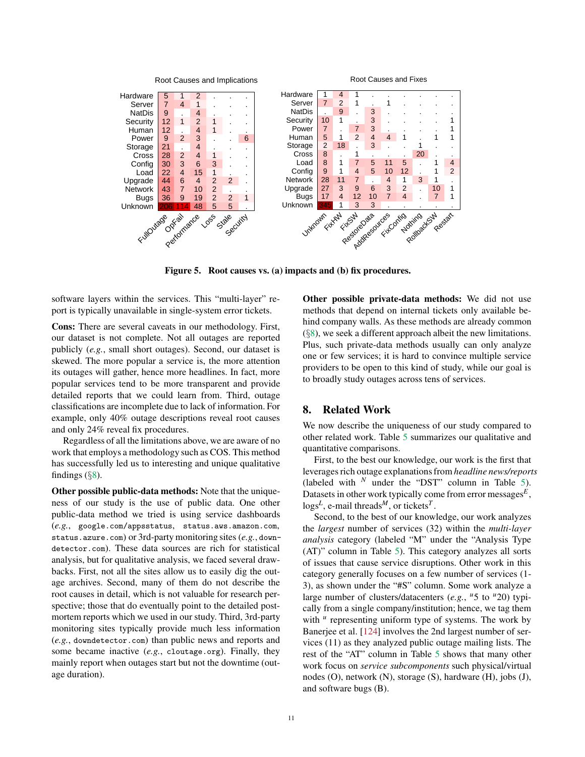

<span id="page-10-1"></span>Figure 5. Root causes vs. (a) impacts and (b) fix procedures.

software layers within the services. This "multi-layer" report is typically unavailable in single-system error tickets.

Cons: There are several caveats in our methodology. First, our dataset is not complete. Not all outages are reported publicly (*e.g.*, small short outages). Second, our dataset is skewed. The more popular a service is, the more attention its outages will gather, hence more headlines. In fact, more popular services tend to be more transparent and provide detailed reports that we could learn from. Third, outage classifications are incomplete due to lack of information. For example, only 40% outage descriptions reveal root causes and only 24% reveal fix procedures.

Regardless of all the limitations above, we are aware of no work that employs a methodology such as COS. This method has successfully led us to interesting and unique qualitative findings  $(\S$ [8\)](#page-10-0).

Other possible public-data methods: Note that the uniqueness of our study is the use of public data. One other public-data method we tried is using service dashboards (*e.g.*, google.com/appsstatus, status.aws.amazon.com, status.azure.com) or 3rd-party monitoring sites (*e.g.*, downdetector.com). These data sources are rich for statistical analysis, but for qualitative analysis, we faced several drawbacks. First, not all the sites allow us to easily dig the outage archives. Second, many of them do not describe the root causes in detail, which is not valuable for research perspective; those that do eventually point to the detailed postmortem reports which we used in our study. Third, 3rd-party monitoring sites typically provide much less information (*e.g.*, downdetector.com) than public news and reports and some became inactive (*e.g.*, cloutage.org). Finally, they mainly report when outages start but not the downtime (outage duration).

Other possible private-data methods: We did not use methods that depend on internal tickets only available behind company walls. As these methods are already common (§[8\)](#page-10-0), we seek a different approach albeit the new limitations. Plus, such private-data methods usually can only analyze one or few services; it is hard to convince multiple service providers to be open to this kind of study, while our goal is to broadly study outages across tens of services.

## <span id="page-10-0"></span>8. Related Work

We now describe the uniqueness of our study compared to other related work. Table [5](#page-11-0) summarizes our qualitative and quantitative comparisons.

First, to the best our knowledge, our work is the first that leverages rich outage explanations from *headline news/reports* (labeled with  $N$  under the "DST" column in Table [5\)](#page-11-0). Datasets in other work typically come from error messages*<sup>E</sup>* , logs*<sup>L</sup>* , e-mail threads*M*, or tickets*<sup>T</sup>* .

Second, to the best of our knowledge, our work analyzes the *largest* number of services (32) within the *multi-layer analysis* category (labeled "M" under the "Analysis Type (AT)" column in Table [5\)](#page-11-0). This category analyzes all sorts of issues that cause service disruptions. Other work in this category generally focuses on a few number of services (1- 3), as shown under the "#S" column. Some work analyze a large number of clusters/datacenters (*e.g.*, *<sup>u</sup>*5 to *<sup>u</sup>*20) typically from a single company/institution; hence, we tag them with *u* representing uniform type of systems. The work by Banerjee et al. [\[124](#page-14-35)] involves the 2nd largest number of services (11) as they analyzed public outage mailing lists. The rest of the "AT" column in Table [5](#page-11-0) shows that many other work focus on *service subcomponents* such physical/virtual nodes (O), network (N), storage (S), hardware (H), jobs (J), and software bugs (B).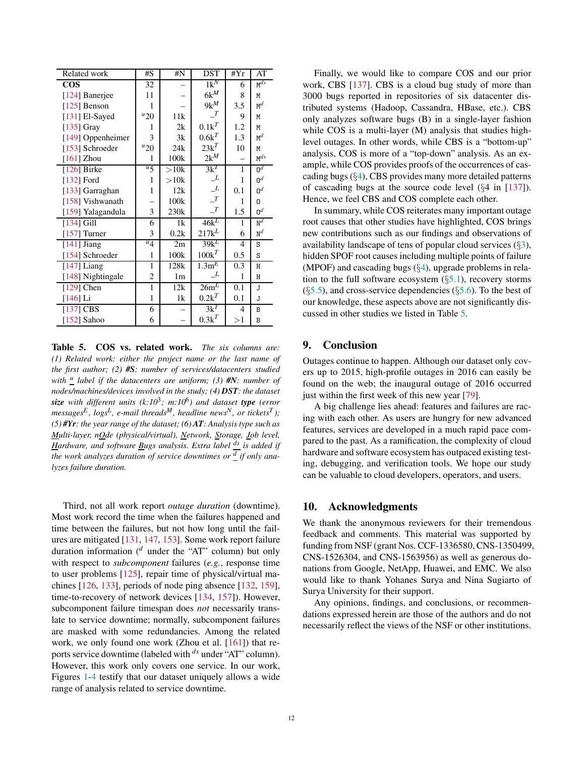| Related work      | #S         | #N   | DST               | #Yr | AT                     |
|-------------------|------------|------|-------------------|-----|------------------------|
| $\cos$            | 32         |      | $1k^N$            | 6   | $M$ <sup>ds</sup>      |
| [124] Banerjee    | 11         |      | $6k^M$            | 8   | Μ                      |
| [ $125$ ] Benson  | 1          |      | $9k^M$            | 3.5 | $\mathbf{M}^d$         |
| [131] El-Sayed    | $u_{20}$   | 11k  | T                 | 9   | М                      |
| [ $135$ ] Gray    | 1          | 2k   | $0.1\mathrm{k}^T$ | 1.2 | M                      |
| [149] Oppenheimer | 3          | 3k   | $0.6k^T$          | 1.3 | M <sup>d</sup>         |
| [153] Schroeder   | $^{\mu}20$ | 24k  | $23k^T$           | 10  | M                      |
| $[161]$ Zhou      | 1          | 100k | $2k^M$            |     | $M^{ds}$               |
| $[126]$ Birke     | $^{\mu}5$  | >10k | $3k^T$            | 1   | $\mathbf{0}^{\bar{d}}$ |
| [ $132$ ] Ford    | 1          | >10k | $\perp$           | 1   | 0 <sup>d</sup>         |
| [133] Garraghan   | 1          | 12k  | $\perp$           | 0.1 | $\mathsf{0}^d$         |
| [158] Vishwanath  |            | 100k | T                 | 1   | 0                      |
| [159] Yalagandula | 3          | 230k | T                 | 1.5 | $\mathbf{0}^d$         |
| [134] Gill        | 6          | 1k   | $46k^L$           | 1   | $N^d$                  |
| $[157]$ Turner    | 3          | 0.2k | $217k^L$          | 6   | $N^d$                  |
| $[141]$ Jiang     | $u_4$      | 2m   | $39k^L$           | 4   | S                      |
| [154] Schroeder   | 1          | 100k | $100k^T$          | 0.5 | S                      |
| $[147]$ Liang     | 1          | 128k | 1.3m <sup>E</sup> | 0.3 | H                      |
| [148] Nightingale | 2          | 1m   | L                 | 1   | Н                      |
| $[129]$ Chen      | 1          | 12k  | 26m <sup>L</sup>  | 0.1 | J                      |
| [146] Li          | 1          | 1k   | $0.2k^T$          | 0.1 | J                      |
| [ $137$ ] CBS     | 6          |      | $3k^T$            | 4   | B                      |
| [ $152$ ] Sahoo   | 6          |      | $0.3k^T$          | >1  | B                      |

<span id="page-11-0"></span>Table 5. COS vs. related work. *The six columns are: (1) Related work: either the project name or the last name of the first author; (2) #S: number of services/datacenters studied with <sup>u</sup> label if the datacenters are uniform; (3) #N: number of nodes/machines/devices involved in the study; (4) DST: the dataset size with different units (k:10*<sup>3</sup> *; m:10*<sup>6</sup> *) and dataset type (error messages<sup>E</sup> , logs<sup>L</sup> , e-mail threadsM, headline newsN, or tickets<sup>T</sup> ); (5) #Yr: the year range of the dataset; (6) AT: Analysis type such as Multi-layer, nOde (physical/virtual), Network, Storage, Job level, Hardware, and software Bugs analysis. Extra label ds is added if the work analyzes duration of service downtimes or <sup>d</sup> if only analyzes failure duration.*

Third, not all work report *outage duration* (downtime). Most work record the time when the failures happened and time between the failures, but not how long until the failures are mitigated [\[131,](#page-14-9) [147,](#page-15-7) [153](#page-15-8)]. Some work report failure duration information (*<sup>d</sup>* under the "AT" column) but only with respect to *subcomponent* failures (*e.g.*, response time to user problems [\[125\]](#page-14-10), repair time of physical/virtual machines [\[126,](#page-14-3) [133\]](#page-14-8), periods of node ping absence [\[132](#page-14-5), [159\]](#page-15-18), time-to-recovery of network devices [\[134](#page-14-4), [157\]](#page-15-4)). However, subcomponent failure timespan does *not* necessarily translate to service downtime; normally, subcomponent failures are masked with some redundancies. Among the related work, we only found one work (Zhou et al. [\[161\]](#page-15-9)) that reports service downtime (labeled with *ds* under "AT" column). However, this work only covers one service. In our work, Figures [1-](#page-3-0)[4](#page-6-2) testify that our dataset uniquely allows a wide range of analysis related to service downtime.

Finally, we would like to compare COS and our prior work, CBS [\[137](#page-14-6)]. CBS is a cloud bug study of more than 3000 bugs reported in repositories of six datacenter distributed systems (Hadoop, Cassandra, HBase, etc.). CBS only analyzes software bugs (B) in a single-layer fashion while COS is a multi-layer (M) analysis that studies highlevel outages. In other words, while CBS is a "bottom-up" analysis, COS is more of a "top-down" analysis. As an example, while COS provides proofs of the occurrences of cascading bugs (§[4\)](#page-4-0), CBS provides many more detailed patterns of cascading bugs at the source code level (§4 in [\[137\]](#page-14-6)). Hence, we feel CBS and COS complete each other.

In summary, while COS reiterates many important outage root causes that other studies have highlighted, COS brings new contributions such as our findings and observations of availability landscape of tens of popular cloud services (§[3\)](#page-2-1), hidden SPOF root causes including multiple points of failure (MPOF) and cascading bugs (§[4\)](#page-4-0), upgrade problems in relation to the full software ecosystem  $(\S5.1)$  $(\S5.1)$ , recovery storms  $(\S5.5)$  $(\S5.5)$ , and cross-service dependencies  $(\S5.6)$  $(\S5.6)$ . To the best of our knowledge, these aspects above are not significantly discussed in other studies we listed in Table [5.](#page-11-0)

# 9. Conclusion

Outages continue to happen. Although our dataset only covers up to 2015, high-profile outages in 2016 can easily be found on the web; the inaugural outage of 2016 occurred just within the first week of this new year [\[79\]](#page-13-51).

A big challenge lies ahead: features and failures are racing with each other. As users are hungry for new advanced features, services are developed in a much rapid pace compared to the past. As a ramification, the complexity of cloud hardware and software ecosystem has outpaced existing testing, debugging, and verification tools. We hope our study can be valuable to cloud developers, operators, and users.

## 10. Acknowledgments

We thank the anonymous reviewers for their tremendous feedback and comments. This material was supported by funding from NSF (grant Nos. CCF-1336580, CNS-1350499, CNS-1526304, and CNS-1563956) as well as generous donations from Google, NetApp, Huawei, and EMC. We also would like to thank Yohanes Surya and Nina Sugiarto of Surya University for their support.

Any opinions, findings, and conclusions, or recommendations expressed herein are those of the authors and do not necessarily reflect the views of the NSF or other institutions.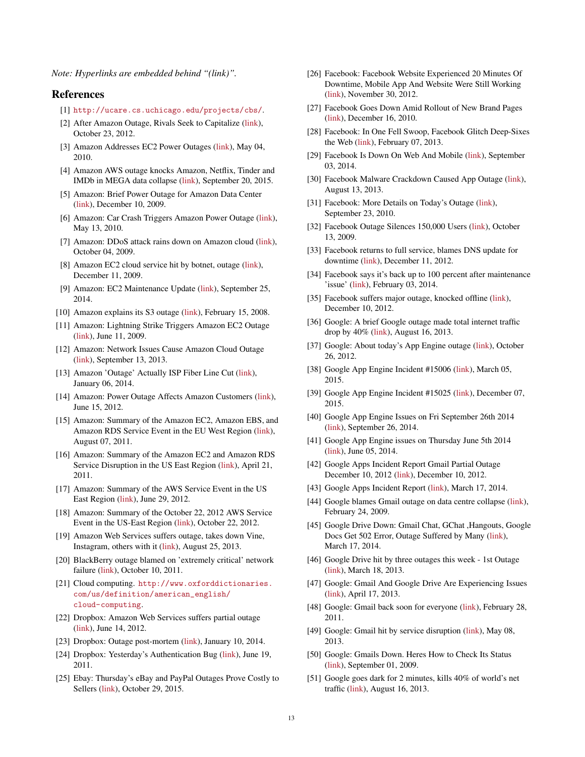*Note: Hyperlinks are embedded behind "(link)".*

#### References

- <span id="page-12-7"></span>[1] <http://ucare.cs.uchicago.edu/projects/cbs/>.
- <span id="page-12-4"></span>[2] After Amazon Outage, Rivals Seek to Capitalize [\(link\)](http://www.datacenterknowledge.com/archives/2012/10/23/aws-outage-rivals-seek-to-capitalize/), October 23, 2012.
- <span id="page-12-17"></span>[3] Amazon Addresses EC2 Power Outages [\(link\)](http://www.datacenterknowledge.com/archives/2010/05/10/amazon-addresses-ec2-power-outages/), May 04, 2010.
- <span id="page-12-39"></span>[4] Amazon AWS outage knocks Amazon, Netflix, Tinder and IMDb in MEGA data collapse [\(link\)](http://www.theregister.co.uk/2015/09/20/aws_database_outage/), September 20, 2015.
- <span id="page-12-15"></span>[5] Amazon: Brief Power Outage for Amazon Data Center [\(link\)](http://www.datacenterknowledge.com/archives/2009/12/10/power-outage-for-amazon-data-center/), December 10, 2009.
- <span id="page-12-11"></span>[6] Amazon: Car Crash Triggers Amazon Power Outage [\(link\)](http://www.datacenterknowledge.com/archives/2010/05/13/car-crash-triggers-amazon-power-outage/), May 13, 2010.
- <span id="page-12-40"></span>[7] Amazon: DDoS attack rains down on Amazon cloud [\(link\)](http://www.theregister.co.uk/2009/10/05/amazon_bitbucket_outage/), October 04, 2009.
- <span id="page-12-46"></span>[8] Amazon EC2 cloud service hit by botnet, outage [\(link\)](http://www.cnet.com/news/amazon-ec2-cloud-service-hit-by-botnet-outage/), December 11, 2009.
- <span id="page-12-48"></span>[9] Amazon: EC2 Maintenance Update [\(link\)](https://aws.amazon.com/blogs/aws/ec2-maintenance-update/), September 25, 2014.
- <span id="page-12-10"></span>[10] Amazon explains its S3 outage [\(link\)](http://www.zdnet.com/article/amazon-explains-its-s3-outage/), February 15, 2008.
- <span id="page-12-50"></span>[11] Amazon: Lightning Strike Triggers Amazon EC2 Outage [\(link\)](http://www.datacenterknowledge.com/archives/2009/06/11/lightning-strike-triggers-amazon-ec2-outage/), June 11, 2009.
- <span id="page-12-41"></span>[12] Amazon: Network Issues Cause Amazon Cloud Outage [\(link\)](http://www.datacenterknowledge.com/archives/2013/09/13/network-issues-cause-amazon-cloud-outage/), September 13, 2013.
- <span id="page-12-37"></span>[13] Amazon 'Outage' Actually ISP Fiber Line Cut [\(link\)](http://talkincloud.com/public-cloud/010714/east-coast-blizzard-takes-down-amazon-customers), January 06, 2014.
- <span id="page-12-42"></span>[14] Amazon: Power Outage Affects Amazon Customers [\(link\)](http://www.datacenterknowledge.com/archives/2012/06/15/power-outage-affects-amazon-customers/), June 15, 2012.
- <span id="page-12-12"></span>[15] Amazon: Summary of the Amazon EC2, Amazon EBS, and Amazon RDS Service Event in the EU West Region [\(link\)](http://aws.amazon.com/message/2329B7/), August 07, 2011.
- <span id="page-12-5"></span>[16] Amazon: Summary of the Amazon EC2 and Amazon RDS Service Disruption in the US East Region [\(link\)](http://aws.amazon.com/message/65648/), April 21, 2011.
- <span id="page-12-8"></span>[17] Amazon: Summary of the AWS Service Event in the US East Region [\(link\)](http://aws.amazon.com/message/67457/), June 29, 2012.
- <span id="page-12-9"></span>[18] Amazon: Summary of the October 22, 2012 AWS Service Event in the US-East Region [\(link\)](http://aws.amazon.com/message/680342/), October 22, 2012.
- <span id="page-12-1"></span>[19] Amazon Web Services suffers outage, takes down Vine, Instagram, others with it [\(link\)](http://www.zdnet.com/article/amazon-web-services-suffers-outage-takes-down-vine-instagram-others-with-it/), August 25, 2013.
- <span id="page-12-13"></span>[20] BlackBerry outage blamed on 'extremely critical' network failure [\(link\)](http://www.cnn.com/2011/10/12/tech/mobile/blackberry-outage/), October 10, 2011.
- <span id="page-12-0"></span>[21] Cloud computing. [http://www.oxforddictionaries.](http://www.oxforddictionaries.com/us/definition/american_english/cloud-computing) [com/us/definition/american\\_english/](http://www.oxforddictionaries.com/us/definition/american_english/cloud-computing) [cloud-computing](http://www.oxforddictionaries.com/us/definition/american_english/cloud-computing).
- <span id="page-12-43"></span>[22] Dropbox: Amazon Web Services suffers partial outage [\(link\)](http://www.zdnet.com/blog/btl/amazon-web-services-suffers-partial-outage/79981), June 14, 2012.
- <span id="page-12-22"></span>[23] Dropbox: Outage post-mortem [\(link\)](https://blogs.dropbox.com/tech/2014/01/outage-post-mortem/), January 10, 2014.
- <span id="page-12-18"></span>[24] Dropbox: Yesterday's Authentication Bug [\(link\)](https://blog.dropbox.com/2011/06/yesterdays-authentication-bug/), June 19, 2011.
- <span id="page-12-44"></span>[25] Ebay: Thursday's eBay and PayPal Outages Prove Costly to Sellers [\(link\)](http://www.ecommercebytes.com/cab/abn/y15/m11/i02/s01), October 29, 2015.
- <span id="page-12-26"></span>[26] Facebook: Facebook Website Experienced 20 Minutes Of Downtime, Mobile App And Website Were Still Working [\(link\)](http://techcrunch.com/2012/11/30/facebook-website-down-mobile-app-and-website-still-working/), November 30, 2012.
- <span id="page-12-23"></span>[27] Facebook Goes Down Amid Rollout of New Brand Pages [\(link\)](http://mashable.com/2010/12/16/facebook-down-rollout/), December 16, 2010.
- <span id="page-12-29"></span>[28] Facebook: In One Fell Swoop, Facebook Glitch Deep-Sixes the Web [\(link\)](http://allthingsd.com/20130207/in-one-fell-swoop-apparent-facebook-glitch-deep-sixes-the-web/), February 07, 2013.
- <span id="page-12-2"></span>[29] Facebook Is Down On Web And Mobile [\(link\)](http://techcrunch.com/2014/09/03/why-is-facebook-down/), September 03, 2014.
- <span id="page-12-47"></span>[30] Facebook Malware Crackdown Caused App Outage [\(link\)](http://www.networkcomputing.com/networking/facebook-malware-crackdown-caused-app-outage/d/d-id/1111198?), August 13, 2013.
- <span id="page-12-30"></span>[31] Facebook: More Details on Today's Outage [\(link\)](https://www.facebook.com/notes/facebook-engineering/more-details-on-todays-outage/431441338919), September 23, 2010.
- <span id="page-12-28"></span>[32] Facebook Outage Silences 150,000 Users [\(link\)](http://www.pcworld.com/article/173550/facebook_outage.html), October 13, 2009.
- <span id="page-12-19"></span>[33] Facebook returns to full service, blames DNS update for downtime [\(link\)](http://thenextweb.com/facebook/2012/12/11/facebook-encountering-dns-issues-making-it-unavailable-for-some-users/), December 11, 2012.
- <span id="page-12-24"></span>[34] Facebook says it's back up to 100 percent after maintenance 'issue' [\(link\)](http://www.nbcnews.com/tech/internet/facebook-says-its-back-100-percent-after-maintenance-issue-f8C11430245), February 03, 2014.
- <span id="page-12-25"></span>[35] Facebook suffers major outage, knocked offline [\(link\)](http://www.cnet.com/news/facebook-suffers-major-outage-knocked-offline/), December 10, 2012.
- <span id="page-12-3"></span>[36] Google: A brief Google outage made total internet traffic drop by 40% [\(link\)](http://www.fastcompany.com/3015942/most-innovative-companies-2013/a-brief-google-outage-made-total-internet-traffic-drop-by-40), August 16, 2013.
- <span id="page-12-36"></span>[37] Google: About today's App Engine outage [\(link\)](http://googleappengine.blogspot.com/2012/10/about-todays-app-engine-outage.html), October 26, 2012.
- <span id="page-12-35"></span>[38] Google App Engine Incident #15006 [\(link\)](https://status.cloud.google.com/incident/appengine/15006), March 05, 2015.
- <span id="page-12-31"></span>[39] Google App Engine Incident #15025 [\(link\)](https://status.cloud.google.com/incident/appengine/15025), December 07, 2015.
- <span id="page-12-14"></span>[40] Google App Engine Issues on Fri September 26th 2014 [\(link\)](https://groups.google.com/forum/#!topic/google-appengine-downtime-notify/nBT3UIdC00g), September 26, 2014.
- <span id="page-12-49"></span>[41] Google App Engine issues on Thursday June 5th 2014 [\(link\)](https://groups.google.com/forum/#!topic/google-appengine-downtime-notify/TF1unR3IUN8), June 05, 2014.
- <span id="page-12-21"></span>[42] Google Apps Incident Report Gmail Partial Outage December 10, 2012 [\(link\)](http://static.googleusercontent.com/external_content/untrusted_dlcp/www.google.com/en/us/appsstatus/ir/plibxfjh8whr44h.pdf), December 10, 2012.
- <span id="page-12-16"></span>[43] Google Apps Incident Report [\(link\)](http://static.googleusercontent.com/media/www.google.com/en/us/appsstatus/ir/foyrkcdqoojjapj.pdf), March 17, 2014.
- <span id="page-12-20"></span>[44] Google blames Gmail outage on data centre collapse [\(link\)](http://www.theregister.co.uk/2009/02/25/google_gmail_data_centre_fail/), February 24, 2009.
- <span id="page-12-33"></span>[45] Google Drive Down: Gmail Chat, GChat ,Hangouts, Google Docs Get 502 Error, Outage Suffered by Many [\(link\)](http://www.theepochtimes.com/n3/567037-google-drive-down-google-docs-outage-suffered-by-many/), March 17, 2014.
- <span id="page-12-27"></span>[46] Google Drive hit by three outages this week - 1st Outage [\(link\)](http://storageservers.wordpress.com/2013/03/25/google-drive-hit-by-three-outages-in-third-week-of-march-2013/), March 18, 2013.
- <span id="page-12-34"></span>[47] Google: Gmail And Google Drive Are Experiencing Issues [\(link\)](http://static.googleusercontent.com/media/www.google.com/en//appsstatus/ir/qpo2mdegn8usyq0.pdf), April 17, 2013.
- <span id="page-12-6"></span>[48] Google: Gmail back soon for everyone [\(link\)](http://static.googleusercontent.com/media/www.google.com/en//appsstatus/ir/0vj093461jiuhkr.pdf), February 28, 2011.
- <span id="page-12-38"></span>[49] Google: Gmail hit by service disruption [\(link\)](http://tech.firstpost.com/news-analysis/gmail-hit-by-service-disruption-85800.html), May 08, 2013.
- <span id="page-12-32"></span>[50] Google: Gmails Down. Heres How to Check Its Status [\(link\)](https://www.alaska.edu/files/oit/internal/root-cause-analysis-archi/09-01-2009_Google-Apps_Outage.pdf), September 01, 2009.
- <span id="page-12-45"></span>[51] Google goes dark for 2 minutes, kills 40% of world's net traffic [\(link\)](http://www.theregister.co.uk/2013/08/17/google_outage/), August 16, 2013.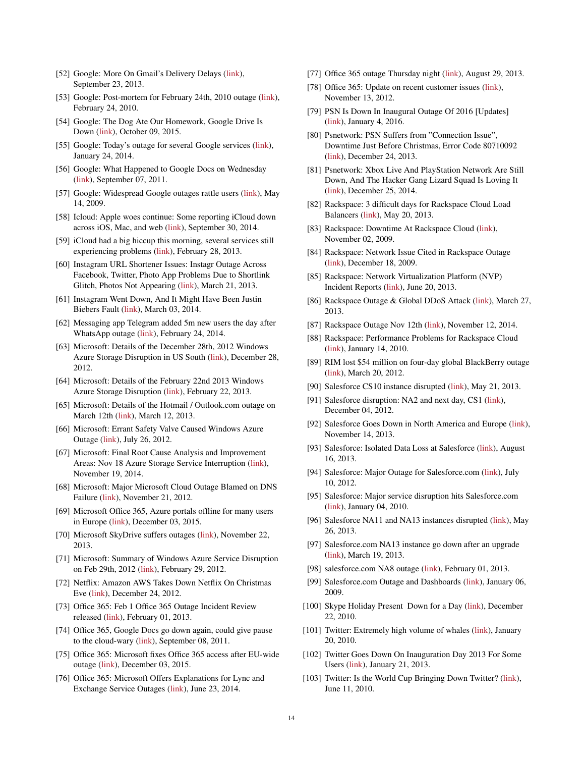- <span id="page-13-10"></span>[52] Google: More On Gmail's Delivery Delays [\(link\)](http://googleenterprise.blogspot.co.uk/2013/09/more-on-gmails-delivery-delays.html), September 23, 2013.
- <span id="page-13-49"></span>[53] Google: Post-mortem for February 24th, 2010 outage [\(link\)](https://groups.google.com/forum/#!topic/google-appengine/p2QKJ0OSLc8), February 24, 2010.
- <span id="page-13-23"></span>[54] Google: The Dog Ate Our Homework, Google Drive Is Down [\(link\)](http://techcrunch.com/2015/10/09/the-dog-ate-our-homework-google-drive-is-down/), October 09, 2015.
- <span id="page-13-6"></span>[55] Google: Today's outage for several Google services [\(link\)](http://googleblog.blogspot.com/2014/01/todays-outage-for-several-google.html), January 24, 2014.
- <span id="page-13-22"></span>[56] Google: What Happened to Google Docs on Wednesday [\(link\)](http://googleforwork.blogspot.co.id/2011/09/what-happened-to-google-docs-on.html), September 07, 2011.
- <span id="page-13-27"></span>[57] Google: Widespread Google outages rattle users [\(link\)](http://www.cnet.com/news/widespread-google-outages-rattle-users/), May 14, 2009.
- <span id="page-13-32"></span>[58] Icloud: Apple woes continue: Some reporting iCloud down across iOS, Mac, and web [\(link\)](http://9to5mac.com/2014/09/29/apple-woes-continue-some-reporting-icloud-down-across-ios-mac-and-web/), September 30, 2014.
- <span id="page-13-44"></span>[59] iCloud had a big hiccup this morning, several services still experiencing problems [\(link\)](http://gigaom.com/2013/02/28/icloud-had-a-big-hiccup-this-morning-several-services-still-experiencing-problems/), February 28, 2013.
- <span id="page-13-18"></span>[60] Instagram URL Shortener Issues: Instagr Outage Across Facebook, Twitter, Photo App Problems Due to Shortlink Glitch, Photos Not Appearing [\(link\)](http://www.mstarz.com/articles/10071/20130321/instagram-shortener-issues-instagr-outage-across-facebook-twitter-photo-app-problems-due-to-shortlink-glitch-photos-not-appearing.htm), March 21, 2013.
- <span id="page-13-39"></span>[61] Instagram Went Down, And It Might Have Been Justin Biebers Fault [\(link\)](http://techcrunch.com/2014/03/03/is-instagram-down/), March 03, 2014.
- <span id="page-13-1"></span>[62] Messaging app Telegram added 5m new users the day after WhatsApp outage [\(link\)](http://www.theguardian.com/technology/2014/feb/24/telegram-messaging-app-whatsapp-down-facebook), February 24, 2014.
- <span id="page-13-2"></span>[63] Microsoft: Details of the December 28th, 2012 Windows Azure Storage Disruption in US South [\(link\)](http://azure.microsoft.com/blog/2013/01/16/details-of-the-december-28th-2012-windows-azure-storage-disruption-in-us-south/), December 28, 2012.
- <span id="page-13-4"></span>[64] Microsoft: Details of the February 22nd 2013 Windows Azure Storage Disruption [\(link\)](http://azure.microsoft.com/blog/2013/03/01/details-of-the-february-22nd-2013-windows-azure-storage-disruption/), February 22, 2013.
- <span id="page-13-19"></span>[65] Microsoft: Details of the Hotmail / Outlook.com outage on March 12th [\(link\)](http://blogs.office.com/2013/03/13/details-of-the-hotmail-outlook-com-outage-on-march-12th/), March 12, 2013.
- <span id="page-13-24"></span>[66] Microsoft: Errant Safety Valve Caused Windows Azure Outage [\(link\)](http://www.datacenterknowledge.com/archives/2012/08/03/errant-safety-valve-caused-windows-azure-outage/), July 26, 2012.
- <span id="page-13-16"></span>[67] Microsoft: Final Root Cause Analysis and Improvement Areas: Nov 18 Azure Storage Service Interruption [\(link\)](http://azure.microsoft.com/blog/2014/12/17/final-root-cause-analysis-and-improvement-areas-nov-18-azure-storage-service-interruption/), November 19, 2014.
- <span id="page-13-29"></span>[68] Microsoft: Major Microsoft Cloud Outage Blamed on DNS Failure [\(link\)](http://redmondmag.com/Blogs/The-Schwartz-Report/2013/11/Outage-Blamed-on-DNS-Failure.aspx), November 21, 2012.
- <span id="page-13-8"></span>[69] Microsoft Office 365, Azure portals offline for many users in Europe [\(link\)](http://www.theregister.co.uk/2015/12/03/office_365_goes_offline/), December 03, 2015.
- <span id="page-13-46"></span>[70] Microsoft SkyDrive suffers outages [\(link\)](http://www.theaustralian.com.au/technology/microsoft-suffers-outages/story-e6frgakx-1226765853886?nk=17993311c8339e57dd2b84590efdab27), November 22, 2013.
- <span id="page-13-30"></span>[71] Microsoft: Summary of Windows Azure Service Disruption on Feb 29th, 2012 [\(link\)](http://azure.microsoft.com/blog/2012/03/09/summary-of-windows-azure-service-disruption-on-feb-29th-2012/), February 29, 2012.
- <span id="page-13-35"></span>[72] Netflix: Amazon AWS Takes Down Netflix On Christmas Eve [\(link\)](http://www.forbes.com/sites/kellyclay/2012/12/24/amazon-aws-takes-down-netflix-on-christmas-eve/), December 24, 2012.
- <span id="page-13-25"></span>[73] Office 365: Feb 1 Office 365 Outage Incident Review released [\(link\)](https://www.cogmotive.com/blog/office-365-tips/feb-1-office-365-outage-incident-review-release), February 01, 2013.
- <span id="page-13-34"></span>[74] Office 365, Google Docs go down again, could give pause to the cloud-wary [\(link\)](http://arstechnica.com/business/2011/09/office-365-google-docs-go-down-again-could-give-pause-to-the-cloud-wary/), September 08, 2011.
- <span id="page-13-45"></span>[75] Office 365: Microsoft fixes Office 365 access after EU-wide outage [\(link\)](http://www.telegraph.co.uk/technology/microsoft/12030984/Microsoft-Office-365-goes-down-for-users-in-many-countries.html), December 03, 2015.
- <span id="page-13-13"></span>[76] Office 365: Microsoft Offers Explanations for Lync and Exchange Service Outages [\(link\)](http://redmondmag.com/articles/2014/06/27/explanations-for-service-outages.aspx), June 23, 2014.
- <span id="page-13-20"></span>[77] Office 365 outage Thursday night [\(link\)](http://www.zdnet.com/office-365-outage-thursday-night-7000020069/), August 29, 2013.
- <span id="page-13-5"></span>[78] Office 365: Update on recent customer issues [\(link\)](http://blogs.office.com/2012/11/13/update-on-recent-customer-issues/), November 13, 2012.
- <span id="page-13-51"></span>[79] PSN Is Down In Inaugural Outage Of 2016 [Updates] [\(link\)](http://www.forbes.com/sites/insertcoin/2016/01/04/psn-is-down-in-inaugural-outage-of-2016/#401aefd0355d), January 4, 2016.
- <span id="page-13-36"></span>[80] Psnetwork: PSN Suffers from "Connection Issue", Downtime Just Before Christmas, Error Code 80710092 [\(link\)](http://www.playstationlifestyle.net/2013/12/24/psn-suffers-from-connection-issues-downtime-just-before-christmas-error-code-80710092/), December 24, 2013.
- <span id="page-13-48"></span>[81] Psnetwork: Xbox Live And PlayStation Network Are Still Down, And The Hacker Gang Lizard Squad Is Loving It [\(link\)](http://www.businessinsider.com/xbox-live-and-playstation-network-are-still-down-and-the-hacker-gang-lizard-squad-is-loving-it-2014-12), December 25, 2014.
- <span id="page-13-7"></span>[82] Rackspace: 3 difficult days for Rackspace Cloud Load Balancers [\(link\)](http://iwgcr.org/3-difficult-days-for-rackspace-cloud-load-balancers/), May 20, 2013.
- <span id="page-13-17"></span>[83] Rackspace: Downtime At Rackspace Cloud [\(link\)](http://techcrunch.com/2009/11/02/large-scale-downtime-at-rackspace-cloud/), November 02, 2009.
- <span id="page-13-28"></span>[84] Rackspace: Network Issue Cited in Rackspace Outage [\(link\)](http://www.datacenterknowledge.com/archives/2009/12/18/network-issue-cited-in-rackspace-outage/), December 18, 2009.
- <span id="page-13-3"></span>[85] Rackspace: Network Virtualization Platform (NVP) Incident Reports [\(link\)](https://community.rackspace.com/cfs-filesystemfile.ashx/__key/telligent-evolution-components-attachments/00-34-00-00-00-00-08-41/Incident-Reports-_2D00_-CLB-and-NVP.pdf), June 20, 2013.
- <span id="page-13-47"></span>[86] Rackspace Outage & Global DDoS Attack [\(link\)](http://readymadeweb.com/2013/03/27/rackspace-outage-global-ddos-attack/), March 27, 2013.
- <span id="page-13-11"></span>[87] Rackspace Outage Nov 12th [\(link\)](http://www.realestatewebmasters.com/blogs/rew-steven/rackspace-outage-nov-12th/show/), November 12, 2014.
- <span id="page-13-41"></span>[88] Rackspace: Performance Problems for Rackspace Cloud [\(link\)](http://www.datacenterknowledge.com/archives/2010/01/14/performance-problems-for-rackspace-cloud/), January 14, 2010.
- <span id="page-13-0"></span>[89] RIM lost \$54 million on four-day global BlackBerry outage [\(link\)](http://www.zdnet.com/article/rim-lost-54-million-on-four-day-global-blackberry-outage/), March 20, 2012.
- <span id="page-13-43"></span>[90] Salesforce CS10 instance disrupted [\(link\)](http://iwgcr.org/salesforce-cs10-instance-disrupted/), May 21, 2013.
- <span id="page-13-40"></span>[91] Salesforce disruption: NA2 and next day, CS1 [\(link\)](http://iwgcr.org/salesforce-disruption/), December 04, 2012.
- <span id="page-13-26"></span>[92] Salesforce Goes Down in North America and Europe [\(link\)](http://iwgcr.org/salesforce-goes-down-in-north-america-and-europe/), November 14, 2013.
- <span id="page-13-50"></span>[93] Salesforce: Isolated Data Loss at Salesforce [\(link\)](http://iwgcr.org/isolated-data-loss-at-salesforce/), August 16, 2013.
- <span id="page-13-42"></span>[94] Salesforce: Major Outage for Salesforce.com [\(link\)](http://www.datacenterknowledge.com/archives/2012/07/10/major-outage-salesforce-com/), July 10, 2012.
- <span id="page-13-12"></span>[95] Salesforce: Major service disruption hits Salesforce.com [\(link\)](http://www.mycustomer.com/topic/technology/major-service-disruption-hits-salesforcecom), January 04, 2010.
- <span id="page-13-31"></span>[96] Salesforce NA11 and NA13 instances disrupted [\(link\)](http://iwgcr.org/salesforce-na11-and-na13-instances-disrupted/), May 26, 2013.
- <span id="page-13-21"></span>[97] Salesforce.com NA13 instance go down after an upgrade [\(link\)](http://iwgcr.org/salesforce-com-na13-instance-go-down-after-an-upgrade/), March 19, 2013.
- <span id="page-13-33"></span>[98] salesforce.com NA8 outage [\(link\)](http://iwgcr.org/salesforce-com-na8-outage/), February 01, 2013.
- <span id="page-13-14"></span>[99] Salesforce.com Outage and Dashboards [\(link\)](http://www.datacenterknowledge.com/archives/2009/01/08/the-salesforcecom-outage-and-dashboards/), January 06, 2009.
- <span id="page-13-15"></span>[100] Skype Holiday Present Down for a Day [\(link\)](http://www.availabilitydigest.com/public_articles/0601/skype.pdf), December 22, 2010.
- <span id="page-13-9"></span>[101] Twitter: Extremely high volume of whales [\(link\)](http://twitterstatus.tumblr.com/post/344235824/extremely-high-volume-of-whales), January 20, 2010.
- <span id="page-13-37"></span>[102] Twitter Goes Down On Inauguration Day 2013 For Some Users [\(link\)](http://www.huffingtonpost.com/2013/01/21/twitter-down-inauguration-day_n_2522196.html), January 21, 2013.
- <span id="page-13-38"></span>[103] Twitter: Is the World Cup Bringing Down Twitter? [\(link\)](https://gigaom.com/2010/06/11/is-the-world-cup-bringing-down-twitter/), June 11, 2010.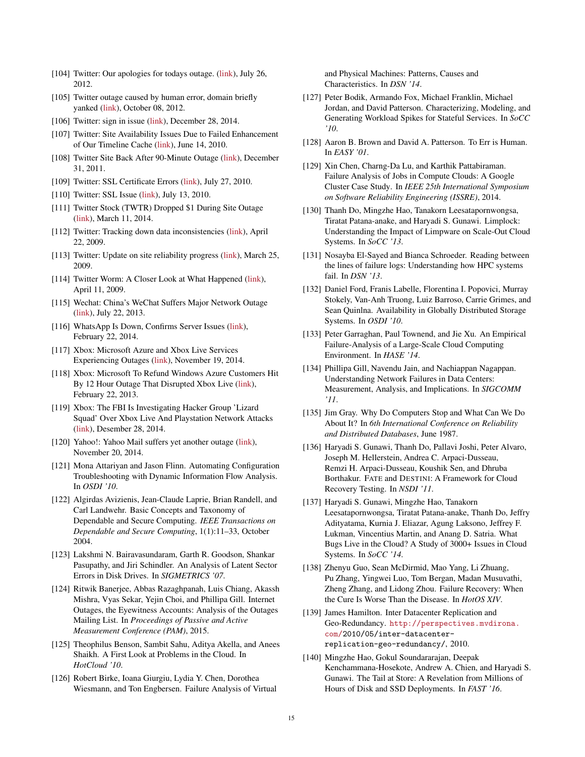- <span id="page-14-15"></span>[104] Twitter: Our apologies for todays outage. [\(link\)](https://blog.twitter.com/2012/our-apologies-for-todays-outage), July 26, 2012.
- <span id="page-14-30"></span>[105] Twitter outage caused by human error, domain briefly yanked [\(link\)](http://www.cnet.com/news/twitter-outage-caused-by-human-error-domain-briefly-yanked/), October 08, 2012.
- <span id="page-14-27"></span>[106] Twitter: sign in issue [\(link\)](http://twitterstatus.tumblr.com/post/106461837558/sign-in-issue), December 28, 2014.
- <span id="page-14-22"></span>[107] Twitter: Site Availability Issues Due to Failed Enhancement of Our Timeline Cache [\(link\)](http://twitterstatus.tumblr.com/post/699623494/site-availability-issues-due-to-failed-enhancement), June 14, 2010.
- <span id="page-14-17"></span>[108] Twitter Site Back After 90-Minute Outage [\(link\)](http://mashable.com/2011/12/31/twitter-is-down-2/), December 31, 2011.
- <span id="page-14-25"></span>[109] Twitter: SSL Certificate Errors [\(link\)](http://twitterstatus.tumblr.com/post/867430677/ssl-certificate-errors), July 27, 2010.
- <span id="page-14-26"></span>[110] Twitter: SSL Issue [\(link\)](http://twitterstatus.tumblr.com/post/808469968/ssl-issue), July 13, 2010.
- <span id="page-14-2"></span>[111] Twitter Stock (TWTR) Dropped \$1 During Site Outage [\(link\)](http://abcnews.go.com/blogs/business/2014/03/twitter-stock-twtr-dropped-1-during-site-outage/), March 11, 2014.
- <span id="page-14-23"></span>[112] Twitter: Tracking down data inconsistencies [\(link\)](http://twitterstatus.tumblr.com/post/99180872/tracking-down-data-inconsistencies), April 22, 2009.
- <span id="page-14-24"></span>[113] Twitter: Update on site reliability progress [\(link\)](http://twitterstatus.tumblr.com/post/89846045/update-on-site-reliability-progress), March 25, 2009.
- <span id="page-14-32"></span>[114] Twitter Worm: A Closer Look at What Happened [\(link\)](http://www.pcworld.com/article/163054/twitter_mikeyy_worm_stalkdaily.html), April 11, 2009.
- <span id="page-14-33"></span>[115] Wechat: China's WeChat Suffers Major Network Outage [\(link\)](http://www.cellular-news.com/story/Services/61130.php), July 22, 2013.
- <span id="page-14-28"></span>[116] WhatsApp Is Down, Confirms Server Issues [\(link\)](http://techcrunch.com/2014/02/22/whatsapp-is-down-facebooks-new-acquisition-confirms/), February 22, 2014.
- <span id="page-14-0"></span>[117] Xbox: Microsoft Azure and Xbox Live Services Experiencing Outages [\(link\)](http://gadgets.ndtv.com/internet/news/microsoft-azure-and-xbox-live-services-experiencing-outages-622865), November 19, 2014.
- <span id="page-14-1"></span>[118] Xbox: Microsoft To Refund Windows Azure Customers Hit By 12 Hour Outage That Disrupted Xbox Live [\(link\)](http://techcrunch.com/2013/02/24/microsoft-to-refund-windows-azure-customers-hit-by-12-hour-outage-that-disrupted-xbox-live/), February 22, 2013.
- <span id="page-14-31"></span>[119] Xbox: The FBI Is Investigating Hacker Group 'Lizard Squad' Over Xbox Live And Playstation Network Attacks [\(link\)](http://www.ibtimes.com/fbi-investigating-hacker-group-lizard-squad-over-xbox-live-playstation-network-1768302), Desember 28, 2014.
- <span id="page-14-34"></span>[120] Yahoo!: Yahoo Mail suffers yet another outage [\(link\)](http://www.theinquirer.net/inquirer/news/2383013/yahoo-mail-suffers-major-outage-due-to-severed-underwater-cable), November 20, 2014.
- <span id="page-14-18"></span>[121] Mona Attariyan and Jason Flinn. Automating Configuration Troubleshooting with Dynamic Information Flow Analysis. In *OSDI '10*.
- <span id="page-14-14"></span>[122] Algirdas Avizienis, Jean-Claude Laprie, Brian Randell, and Carl Landwehr. Basic Concepts and Taxonomy of Dependable and Secure Computing. *IEEE Transactions on Dependable and Secure Computing*, 1(1):11–33, October 2004.
- <span id="page-14-20"></span>[123] Lakshmi N. Bairavasundaram, Garth R. Goodson, Shankar Pasupathy, and Jiri Schindler. An Analysis of Latent Sector Errors in Disk Drives. In *SIGMETRICS '07*.
- <span id="page-14-35"></span>[124] Ritwik Banerjee, Abbas Razaghpanah, Luis Chiang, Akassh Mishra, Vyas Sekar, Yejin Choi, and Phillipa Gill. Internet Outages, the Eyewitness Accounts: Analysis of the Outages Mailing List. In *Proceedings of Passive and Active Measurement Conference (PAM)*, 2015.
- <span id="page-14-10"></span>[125] Theophilus Benson, Sambit Sahu, Aditya Akella, and Anees Shaikh. A First Look at Problems in the Cloud. In *HotCloud '10*.
- <span id="page-14-3"></span>[126] Robert Birke, Ioana Giurgiu, Lydia Y. Chen, Dorothea Wiesmann, and Ton Engbersen. Failure Analysis of Virtual

and Physical Machines: Patterns, Causes and Characteristics. In *DSN '14*.

- <span id="page-14-19"></span>[127] Peter Bodik, Armando Fox, Michael Franklin, Michael Jordan, and David Patterson. Characterizing, Modeling, and Generating Workload Spikes for Stateful Services. In *SoCC '10*.
- <span id="page-14-21"></span>[128] Aaron B. Brown and David A. Patterson. To Err is Human. In *EASY '01*.
- <span id="page-14-7"></span>[129] Xin Chen, Charng-Da Lu, and Karthik Pattabiraman. Failure Analysis of Jobs in Compute Clouds: A Google Cluster Case Study. In *IEEE 25th International Symposium on Software Reliability Engineering (ISSRE)*, 2014.
- <span id="page-14-11"></span>[130] Thanh Do, Mingzhe Hao, Tanakorn Leesatapornwongsa, Tiratat Patana-anake, and Haryadi S. Gunawi. Limplock: Understanding the Impact of Limpware on Scale-Out Cloud Systems. In *SoCC '13*.
- <span id="page-14-9"></span>[131] Nosayba El-Sayed and Bianca Schroeder. Reading between the lines of failure logs: Understanding how HPC systems fail. In *DSN '13*.
- <span id="page-14-5"></span>[132] Daniel Ford, Franis Labelle, Florentina I. Popovici, Murray Stokely, Van-Anh Truong, Luiz Barroso, Carrie Grimes, and Sean Quinlna. Availability in Globally Distributed Storage Systems. In *OSDI '10*.
- <span id="page-14-8"></span>[133] Peter Garraghan, Paul Townend, and Jie Xu. An Empirical Failure-Analysis of a Large-Scale Cloud Computing Environment. In *HASE '14*.
- <span id="page-14-4"></span>[134] Phillipa Gill, Navendu Jain, and Nachiappan Nagappan. Understanding Network Failures in Data Centers: Measurement, Analysis, and Implications. In *SIGCOMM '11*.
- <span id="page-14-36"></span>[135] Jim Gray. Why Do Computers Stop and What Can We Do About It? In *6th International Conference on Reliability and Distributed Databases*, June 1987.
- <span id="page-14-12"></span>[136] Haryadi S. Gunawi, Thanh Do, Pallavi Joshi, Peter Alvaro, Joseph M. Hellerstein, Andrea C. Arpaci-Dusseau, Remzi H. Arpaci-Dusseau, Koushik Sen, and Dhruba Borthakur. FATE and DESTINI: A Framework for Cloud Recovery Testing. In *NSDI '11*.
- <span id="page-14-6"></span>[137] Haryadi S. Gunawi, Mingzhe Hao, Tanakorn Leesatapornwongsa, Tiratat Patana-anake, Thanh Do, Jeffry Adityatama, Kurnia J. Eliazar, Agung Laksono, Jeffrey F. Lukman, Vincentius Martin, and Anang D. Satria. What Bugs Live in the Cloud? A Study of 3000+ Issues in Cloud Systems. In *SoCC '14*.
- <span id="page-14-29"></span>[138] Zhenyu Guo, Sean McDirmid, Mao Yang, Li Zhuang, Pu Zhang, Yingwei Luo, Tom Bergan, Madan Musuvathi, Zheng Zhang, and Lidong Zhou. Failure Recovery: When the Cure Is Worse Than the Disease. In *HotOS XIV*.
- <span id="page-14-16"></span>[139] James Hamilton. Inter Datacenter Replication and Geo-Redundancy. [http://perspectives.mvdirona.](http://perspectives.mvdirona.com/) [com/2](http://perspectives.mvdirona.com/)010/05/inter-datacenterreplication-geo-redundancy/, 2010.
- <span id="page-14-13"></span>[140] Mingzhe Hao, Gokul Soundararajan, Deepak Kenchammana-Hosekote, Andrew A. Chien, and Haryadi S. Gunawi. The Tail at Store: A Revelation from Millions of Hours of Disk and SSD Deployments. In *FAST '16*.